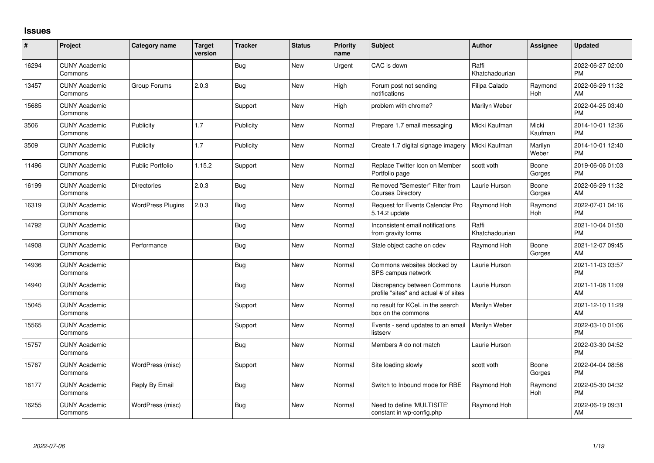## **Issues**

| #     | Project                         | <b>Category name</b>     | <b>Target</b><br>version | <b>Tracker</b> | <b>Status</b> | Priority<br>name | Subject                                                              | <b>Author</b>           | Assignee              | <b>Updated</b>                |
|-------|---------------------------------|--------------------------|--------------------------|----------------|---------------|------------------|----------------------------------------------------------------------|-------------------------|-----------------------|-------------------------------|
| 16294 | <b>CUNY Academic</b><br>Commons |                          |                          | <b>Bug</b>     | <b>New</b>    | Urgent           | CAC is down                                                          | Raffi<br>Khatchadourian |                       | 2022-06-27 02:00<br><b>PM</b> |
| 13457 | <b>CUNY Academic</b><br>Commons | Group Forums             | 2.0.3                    | Bug            | New           | High             | Forum post not sending<br>notifications                              | Filipa Calado           | Raymond<br><b>Hoh</b> | 2022-06-29 11:32<br>AM        |
| 15685 | <b>CUNY Academic</b><br>Commons |                          |                          | Support        | <b>New</b>    | High             | problem with chrome?                                                 | Marilyn Weber           |                       | 2022-04-25 03:40<br><b>PM</b> |
| 3506  | <b>CUNY Academic</b><br>Commons | Publicity                | 1.7                      | Publicity      | <b>New</b>    | Normal           | Prepare 1.7 email messaging                                          | Micki Kaufman           | Micki<br>Kaufman      | 2014-10-01 12:36<br><b>PM</b> |
| 3509  | <b>CUNY Academic</b><br>Commons | Publicity                | 1.7                      | Publicity      | <b>New</b>    | Normal           | Create 1.7 digital signage imagery                                   | Micki Kaufman           | Marilyn<br>Weber      | 2014-10-01 12:40<br><b>PM</b> |
| 11496 | <b>CUNY Academic</b><br>Commons | <b>Public Portfolio</b>  | 1.15.2                   | Support        | <b>New</b>    | Normal           | Replace Twitter Icon on Member<br>Portfolio page                     | scott voth              | Boone<br>Gorges       | 2019-06-06 01:03<br><b>PM</b> |
| 16199 | <b>CUNY Academic</b><br>Commons | <b>Directories</b>       | 2.0.3                    | <b>Bug</b>     | <b>New</b>    | Normal           | Removed "Semester" Filter from<br><b>Courses Directory</b>           | Laurie Hurson           | Boone<br>Gorges       | 2022-06-29 11:32<br>AM        |
| 16319 | <b>CUNY Academic</b><br>Commons | <b>WordPress Plugins</b> | 2.0.3                    | <b>Bug</b>     | <b>New</b>    | Normal           | Request for Events Calendar Pro<br>5.14.2 update                     | Raymond Hoh             | Raymond<br>Hoh        | 2022-07-01 04:16<br><b>PM</b> |
| 14792 | <b>CUNY Academic</b><br>Commons |                          |                          | <b>Bug</b>     | <b>New</b>    | Normal           | Inconsistent email notifications<br>from gravity forms               | Raffi<br>Khatchadourian |                       | 2021-10-04 01:50<br><b>PM</b> |
| 14908 | <b>CUNY Academic</b><br>Commons | Performance              |                          | <b>Bug</b>     | <b>New</b>    | Normal           | Stale object cache on cdev                                           | Raymond Hoh             | Boone<br>Gorges       | 2021-12-07 09:45<br>AM        |
| 14936 | <b>CUNY Academic</b><br>Commons |                          |                          | <b>Bug</b>     | <b>New</b>    | Normal           | Commons websites blocked by<br>SPS campus network                    | Laurie Hurson           |                       | 2021-11-03 03:57<br><b>PM</b> |
| 14940 | <b>CUNY Academic</b><br>Commons |                          |                          | <b>Bug</b>     | <b>New</b>    | Normal           | Discrepancy between Commons<br>profile "sites" and actual # of sites | Laurie Hurson           |                       | 2021-11-08 11:09<br>AM        |
| 15045 | <b>CUNY Academic</b><br>Commons |                          |                          | Support        | <b>New</b>    | Normal           | no result for KCeL in the search<br>box on the commons               | Marilyn Weber           |                       | 2021-12-10 11:29<br>AM        |
| 15565 | <b>CUNY Academic</b><br>Commons |                          |                          | Support        | <b>New</b>    | Normal           | Events - send updates to an email<br>listserv                        | Marilyn Weber           |                       | 2022-03-10 01:06<br><b>PM</b> |
| 15757 | <b>CUNY Academic</b><br>Commons |                          |                          | Bug            | <b>New</b>    | Normal           | Members # do not match                                               | Laurie Hurson           |                       | 2022-03-30 04:52<br><b>PM</b> |
| 15767 | <b>CUNY Academic</b><br>Commons | WordPress (misc)         |                          | Support        | <b>New</b>    | Normal           | Site loading slowly                                                  | scott voth              | Boone<br>Gorges       | 2022-04-04 08:56<br><b>PM</b> |
| 16177 | <b>CUNY Academic</b><br>Commons | Reply By Email           |                          | Bug            | <b>New</b>    | Normal           | Switch to Inbound mode for RBE                                       | Raymond Hoh             | Raymond<br>Hoh        | 2022-05-30 04:32<br><b>PM</b> |
| 16255 | <b>CUNY Academic</b><br>Commons | WordPress (misc)         |                          | Bug            | <b>New</b>    | Normal           | Need to define 'MULTISITE'<br>constant in wp-config.php              | Raymond Hoh             |                       | 2022-06-19 09:31<br>AM        |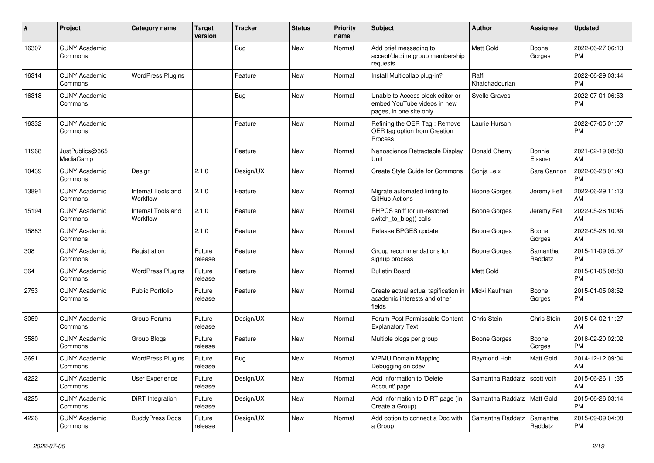| #     | Project                         | <b>Category name</b>           | <b>Target</b><br>version | <b>Tracker</b> | <b>Status</b> | <b>Priority</b><br>name | <b>Subject</b>                                                                             | Author                       | <b>Assignee</b>     | <b>Updated</b>                |
|-------|---------------------------------|--------------------------------|--------------------------|----------------|---------------|-------------------------|--------------------------------------------------------------------------------------------|------------------------------|---------------------|-------------------------------|
| 16307 | <b>CUNY Academic</b><br>Commons |                                |                          | Bug            | New           | Normal                  | Add brief messaging to<br>accept/decline group membership<br>requests                      | <b>Matt Gold</b>             | Boone<br>Gorges     | 2022-06-27 06:13<br>PM        |
| 16314 | <b>CUNY Academic</b><br>Commons | <b>WordPress Plugins</b>       |                          | Feature        | <b>New</b>    | Normal                  | Install Multicollab plug-in?                                                               | Raffi<br>Khatchadourian      |                     | 2022-06-29 03:44<br><b>PM</b> |
| 16318 | <b>CUNY Academic</b><br>Commons |                                |                          | <b>Bug</b>     | New           | Normal                  | Unable to Access block editor or<br>embed YouTube videos in new<br>pages, in one site only | <b>Syelle Graves</b>         |                     | 2022-07-01 06:53<br><b>PM</b> |
| 16332 | <b>CUNY Academic</b><br>Commons |                                |                          | Feature        | New           | Normal                  | Refining the OER Tag: Remove<br>OER tag option from Creation<br>Process                    | Laurie Hurson                |                     | 2022-07-05 01:07<br><b>PM</b> |
| 11968 | JustPublics@365<br>MediaCamp    |                                |                          | Feature        | <b>New</b>    | Normal                  | Nanoscience Retractable Display<br>Unit                                                    | Donald Cherry                | Bonnie<br>Eissner   | 2021-02-19 08:50<br>AM        |
| 10439 | <b>CUNY Academic</b><br>Commons | Design                         | 2.1.0                    | Design/UX      | New           | Normal                  | Create Style Guide for Commons                                                             | Sonja Leix                   | Sara Cannon         | 2022-06-28 01:43<br><b>PM</b> |
| 13891 | <b>CUNY Academic</b><br>Commons | Internal Tools and<br>Workflow | 2.1.0                    | Feature        | <b>New</b>    | Normal                  | Migrate automated linting to<br>GitHub Actions                                             | <b>Boone Gorges</b>          | Jeremy Felt         | 2022-06-29 11:13<br>AM        |
| 15194 | <b>CUNY Academic</b><br>Commons | Internal Tools and<br>Workflow | 2.1.0                    | Feature        | <b>New</b>    | Normal                  | PHPCS sniff for un-restored<br>switch_to_blog() calls                                      | <b>Boone Gorges</b>          | Jeremy Felt         | 2022-05-26 10:45<br>AM        |
| 15883 | <b>CUNY Academic</b><br>Commons |                                | 2.1.0                    | Feature        | <b>New</b>    | Normal                  | Release BPGES update                                                                       | <b>Boone Gorges</b>          | Boone<br>Gorges     | 2022-05-26 10:39<br>AM        |
| 308   | <b>CUNY Academic</b><br>Commons | Registration                   | Future<br>release        | Feature        | <b>New</b>    | Normal                  | Group recommendations for<br>signup process                                                | Boone Gorges                 | Samantha<br>Raddatz | 2015-11-09 05:07<br><b>PM</b> |
| 364   | <b>CUNY Academic</b><br>Commons | <b>WordPress Plugins</b>       | Future<br>release        | Feature        | New           | Normal                  | <b>Bulletin Board</b>                                                                      | <b>Matt Gold</b>             |                     | 2015-01-05 08:50<br><b>PM</b> |
| 2753  | <b>CUNY Academic</b><br>Commons | Public Portfolio               | Future<br>release        | Feature        | <b>New</b>    | Normal                  | Create actual actual tagification in<br>academic interests and other<br>fields             | Micki Kaufman                | Boone<br>Gorges     | 2015-01-05 08:52<br><b>PM</b> |
| 3059  | <b>CUNY Academic</b><br>Commons | Group Forums                   | Future<br>release        | Design/UX      | <b>New</b>    | Normal                  | Forum Post Permissable Content<br><b>Explanatory Text</b>                                  | Chris Stein                  | Chris Stein         | 2015-04-02 11:27<br>AM        |
| 3580  | <b>CUNY Academic</b><br>Commons | Group Blogs                    | Future<br>release        | Feature        | New           | Normal                  | Multiple blogs per group                                                                   | Boone Gorges                 | Boone<br>Gorges     | 2018-02-20 02:02<br><b>PM</b> |
| 3691  | <b>CUNY Academic</b><br>Commons | <b>WordPress Plugins</b>       | Future<br>release        | Bug            | <b>New</b>    | Normal                  | <b>WPMU Domain Mapping</b><br>Debugging on cdev                                            | Raymond Hoh                  | Matt Gold           | 2014-12-12 09:04<br>AM        |
| 4222  | <b>CUNY Academic</b><br>Commons | User Experience                | Future<br>release        | Design/UX      | New           | Normal                  | Add information to 'Delete<br>Account' page                                                | Samantha Raddatz             | scott voth          | 2015-06-26 11:35<br>AM        |
| 4225  | <b>CUNY Academic</b><br>Commons | <b>DiRT</b> Integration        | Future<br>release        | Design/UX      | New           | Normal                  | Add information to DIRT page (in<br>Create a Group)                                        | Samantha Raddatz   Matt Gold |                     | 2015-06-26 03:14<br><b>PM</b> |
| 4226  | <b>CUNY Academic</b><br>Commons | <b>BuddyPress Docs</b>         | Future<br>release        | Design/UX      | New           | Normal                  | Add option to connect a Doc with<br>a Group                                                | Samantha Raddatz             | Samantha<br>Raddatz | 2015-09-09 04:08<br>PM        |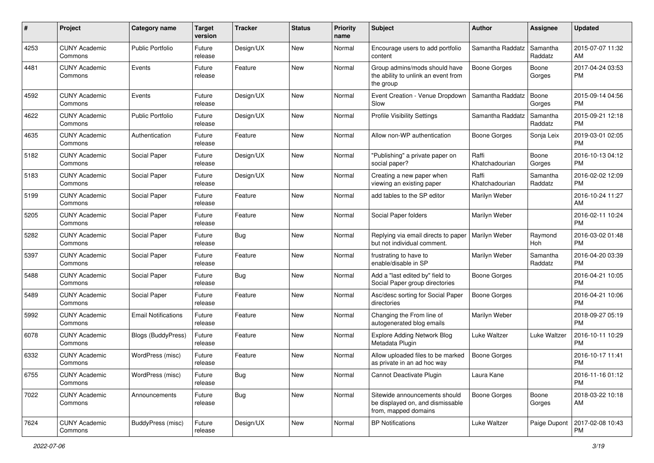| #    | Project                         | <b>Category name</b>       | <b>Target</b><br>version | <b>Tracker</b> | <b>Status</b> | <b>Priority</b><br>name | <b>Subject</b>                                                                            | Author                  | <b>Assignee</b>     | <b>Updated</b>                |
|------|---------------------------------|----------------------------|--------------------------|----------------|---------------|-------------------------|-------------------------------------------------------------------------------------------|-------------------------|---------------------|-------------------------------|
| 4253 | <b>CUNY Academic</b><br>Commons | <b>Public Portfolio</b>    | Future<br>release        | Design/UX      | New           | Normal                  | Encourage users to add portfolio<br>content                                               | Samantha Raddatz        | Samantha<br>Raddatz | 2015-07-07 11:32<br>AM        |
| 4481 | <b>CUNY Academic</b><br>Commons | Events                     | Future<br>release        | Feature        | New           | Normal                  | Group admins/mods should have<br>the ability to unlink an event from<br>the group         | <b>Boone Gorges</b>     | Boone<br>Gorges     | 2017-04-24 03:53<br><b>PM</b> |
| 4592 | <b>CUNY Academic</b><br>Commons | Events                     | Future<br>release        | Design/UX      | New           | Normal                  | Event Creation - Venue Dropdown<br>Slow                                                   | Samantha Raddatz        | Boone<br>Gorges     | 2015-09-14 04:56<br><b>PM</b> |
| 4622 | <b>CUNY Academic</b><br>Commons | <b>Public Portfolio</b>    | Future<br>release        | Design/UX      | New           | Normal                  | <b>Profile Visibility Settings</b>                                                        | Samantha Raddatz        | Samantha<br>Raddatz | 2015-09-21 12:18<br><b>PM</b> |
| 4635 | <b>CUNY Academic</b><br>Commons | Authentication             | Future<br>release        | Feature        | New           | Normal                  | Allow non-WP authentication                                                               | Boone Gorges            | Sonja Leix          | 2019-03-01 02:05<br><b>PM</b> |
| 5182 | <b>CUNY Academic</b><br>Commons | Social Paper               | Future<br>release        | Design/UX      | New           | Normal                  | "Publishing" a private paper on<br>social paper?                                          | Raffi<br>Khatchadourian | Boone<br>Gorges     | 2016-10-13 04:12<br><b>PM</b> |
| 5183 | <b>CUNY Academic</b><br>Commons | Social Paper               | Future<br>release        | Design/UX      | New           | Normal                  | Creating a new paper when<br>viewing an existing paper                                    | Raffi<br>Khatchadourian | Samantha<br>Raddatz | 2016-02-02 12:09<br><b>PM</b> |
| 5199 | <b>CUNY Academic</b><br>Commons | Social Paper               | Future<br>release        | Feature        | New           | Normal                  | add tables to the SP editor                                                               | Marilyn Weber           |                     | 2016-10-24 11:27<br>AM        |
| 5205 | <b>CUNY Academic</b><br>Commons | Social Paper               | Future<br>release        | Feature        | New           | Normal                  | Social Paper folders                                                                      | Marilyn Weber           |                     | 2016-02-11 10:24<br><b>PM</b> |
| 5282 | <b>CUNY Academic</b><br>Commons | Social Paper               | Future<br>release        | <b>Bug</b>     | New           | Normal                  | Replying via email directs to paper<br>but not individual comment.                        | Marilyn Weber           | Raymond<br>Hoh      | 2016-03-02 01:48<br><b>PM</b> |
| 5397 | <b>CUNY Academic</b><br>Commons | Social Paper               | Future<br>release        | Feature        | New           | Normal                  | frustrating to have to<br>enable/disable in SP                                            | Marilyn Weber           | Samantha<br>Raddatz | 2016-04-20 03:39<br><b>PM</b> |
| 5488 | <b>CUNY Academic</b><br>Commons | Social Paper               | Future<br>release        | Bug            | <b>New</b>    | Normal                  | Add a "last edited by" field to<br>Social Paper group directories                         | <b>Boone Gorges</b>     |                     | 2016-04-21 10:05<br><b>PM</b> |
| 5489 | <b>CUNY Academic</b><br>Commons | Social Paper               | Future<br>release        | Feature        | <b>New</b>    | Normal                  | Asc/desc sorting for Social Paper<br>directories                                          | <b>Boone Gorges</b>     |                     | 2016-04-21 10:06<br><b>PM</b> |
| 5992 | <b>CUNY Academic</b><br>Commons | <b>Email Notifications</b> | Future<br>release        | Feature        | New           | Normal                  | Changing the From line of<br>autogenerated blog emails                                    | Marilyn Weber           |                     | 2018-09-27 05:19<br><b>PM</b> |
| 6078 | <b>CUNY Academic</b><br>Commons | Blogs (BuddyPress)         | Future<br>release        | Feature        | New           | Normal                  | <b>Explore Adding Network Blog</b><br>Metadata Plugin                                     | Luke Waltzer            | Luke Waltzer        | 2016-10-11 10:29<br><b>PM</b> |
| 6332 | <b>CUNY Academic</b><br>Commons | WordPress (misc)           | Future<br>release        | Feature        | New           | Normal                  | Allow uploaded files to be marked<br>as private in an ad hoc way                          | <b>Boone Gorges</b>     |                     | 2016-10-17 11:41<br><b>PM</b> |
| 6755 | <b>CUNY Academic</b><br>Commons | WordPress (misc)           | Future<br>release        | Bug            | New           | Normal                  | Cannot Deactivate Plugin                                                                  | Laura Kane              |                     | 2016-11-16 01:12<br>PM        |
| 7022 | <b>CUNY Academic</b><br>Commons | Announcements              | Future<br>release        | <b>Bug</b>     | New           | Normal                  | Sitewide announcements should<br>be displayed on, and dismissable<br>from, mapped domains | Boone Gorges            | Boone<br>Gorges     | 2018-03-22 10:18<br>AM        |
| 7624 | <b>CUNY Academic</b><br>Commons | BuddyPress (misc)          | Future<br>release        | Design/UX      | New           | Normal                  | <b>BP</b> Notifications                                                                   | Luke Waltzer            | Paige Dupont        | 2017-02-08 10:43<br><b>PM</b> |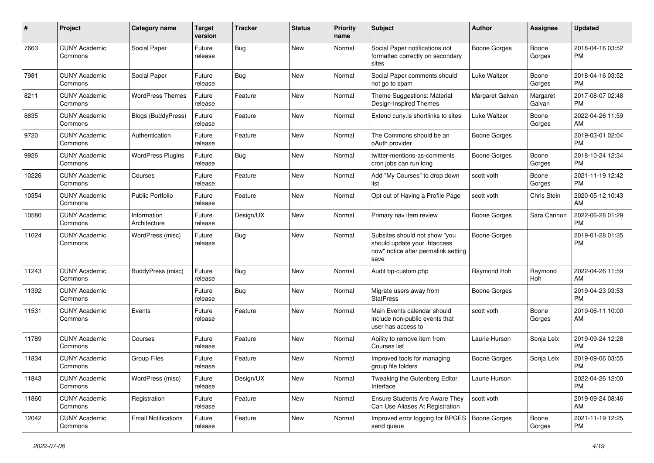| $\#$  | Project                         | <b>Category name</b>        | <b>Target</b><br>version | <b>Tracker</b> | <b>Status</b> | Priority<br>name | <b>Subject</b>                                                                                               | Author              | <b>Assignee</b>    | <b>Updated</b>                |
|-------|---------------------------------|-----------------------------|--------------------------|----------------|---------------|------------------|--------------------------------------------------------------------------------------------------------------|---------------------|--------------------|-------------------------------|
| 7663  | <b>CUNY Academic</b><br>Commons | Social Paper                | Future<br>release        | <b>Bug</b>     | <b>New</b>    | Normal           | Social Paper notifications not<br>formatted correctly on secondary<br>sites                                  | <b>Boone Gorges</b> | Boone<br>Gorges    | 2018-04-16 03:52<br><b>PM</b> |
| 7981  | <b>CUNY Academic</b><br>Commons | Social Paper                | Future<br>release        | <b>Bug</b>     | <b>New</b>    | Normal           | Social Paper comments should<br>not go to spam                                                               | Luke Waltzer        | Boone<br>Gorges    | 2018-04-16 03:52<br>PM        |
| 8211  | <b>CUNY Academic</b><br>Commons | <b>WordPress Themes</b>     | Future<br>release        | Feature        | New           | Normal           | Theme Suggestions: Material<br>Design-Inspired Themes                                                        | Margaret Galvan     | Margaret<br>Galvan | 2017-08-07 02:48<br><b>PM</b> |
| 8835  | <b>CUNY Academic</b><br>Commons | <b>Blogs (BuddyPress)</b>   | Future<br>release        | Feature        | <b>New</b>    | Normal           | Extend cuny.is shortlinks to sites                                                                           | Luke Waltzer        | Boone<br>Gorges    | 2022-04-26 11:59<br>AM        |
| 9720  | <b>CUNY Academic</b><br>Commons | Authentication              | Future<br>release        | Feature        | <b>New</b>    | Normal           | The Commons should be an<br>oAuth provider                                                                   | <b>Boone Gorges</b> |                    | 2019-03-01 02:04<br><b>PM</b> |
| 9926  | <b>CUNY Academic</b><br>Commons | <b>WordPress Plugins</b>    | Future<br>release        | <b>Bug</b>     | <b>New</b>    | Normal           | twitter-mentions-as-comments<br>cron jobs can run long                                                       | <b>Boone Gorges</b> | Boone<br>Gorges    | 2018-10-24 12:34<br><b>PM</b> |
| 10226 | <b>CUNY Academic</b><br>Commons | Courses                     | Future<br>release        | Feature        | New           | Normal           | Add "My Courses" to drop down<br>list                                                                        | scott voth          | Boone<br>Gorges    | 2021-11-19 12:42<br><b>PM</b> |
| 10354 | <b>CUNY Academic</b><br>Commons | <b>Public Portfolio</b>     | Future<br>release        | Feature        | <b>New</b>    | Normal           | Opt out of Having a Profile Page                                                                             | scott voth          | Chris Stein        | 2020-05-12 10:43<br>AM        |
| 10580 | <b>CUNY Academic</b><br>Commons | Information<br>Architecture | Future<br>release        | Design/UX      | <b>New</b>    | Normal           | Primary nav item review                                                                                      | <b>Boone Gorges</b> | Sara Cannon        | 2022-06-28 01:29<br><b>PM</b> |
| 11024 | <b>CUNY Academic</b><br>Commons | WordPress (misc)            | Future<br>release        | Bug            | <b>New</b>    | Normal           | Subsites should not show "you<br>should update your .htaccess<br>now" notice after permalink setting<br>save | <b>Boone Gorges</b> |                    | 2019-01-28 01:35<br>PM        |
| 11243 | <b>CUNY Academic</b><br>Commons | BuddyPress (misc)           | Future<br>release        | Bug            | <b>New</b>    | Normal           | Audit bp-custom.php                                                                                          | Raymond Hoh         | Raymond<br>Hoh     | 2022-04-26 11:59<br>AM        |
| 11392 | <b>CUNY Academic</b><br>Commons |                             | Future<br>release        | <b>Bug</b>     | <b>New</b>    | Normal           | Migrate users away from<br><b>StatPress</b>                                                                  | <b>Boone Gorges</b> |                    | 2019-04-23 03:53<br><b>PM</b> |
| 11531 | <b>CUNY Academic</b><br>Commons | Events                      | Future<br>release        | Feature        | New           | Normal           | Main Events calendar should<br>include non-public events that<br>user has access to                          | scott voth          | Boone<br>Gorges    | 2019-06-11 10:00<br>AM        |
| 11789 | <b>CUNY Academic</b><br>Commons | Courses                     | Future<br>release        | Feature        | New           | Normal           | Ability to remove item from<br>Courses list                                                                  | Laurie Hurson       | Sonja Leix         | 2019-09-24 12:28<br><b>PM</b> |
| 11834 | <b>CUNY Academic</b><br>Commons | <b>Group Files</b>          | Future<br>release        | Feature        | <b>New</b>    | Normal           | Improved tools for managing<br>group file folders                                                            | <b>Boone Gorges</b> | Sonja Leix         | 2019-09-06 03:55<br><b>PM</b> |
| 11843 | <b>CUNY Academic</b><br>Commons | WordPress (misc)            | Future<br>release        | Design/UX      | New           | Normal           | Tweaking the Gutenberg Editor<br>Interface                                                                   | Laurie Hurson       |                    | 2022-04-26 12:00<br>PM.       |
| 11860 | <b>CUNY Academic</b><br>Commons | Registration                | Future<br>release        | Feature        | New           | Normal           | <b>Ensure Students Are Aware They</b><br>Can Use Aliases At Registration                                     | scott voth          |                    | 2019-09-24 08:46<br>AM        |
| 12042 | <b>CUNY Academic</b><br>Commons | <b>Email Notifications</b>  | Future<br>release        | Feature        | New           | Normal           | Improved error logging for BPGES<br>send queue                                                               | Boone Gorges        | Boone<br>Gorges    | 2021-11-19 12:25<br>PM        |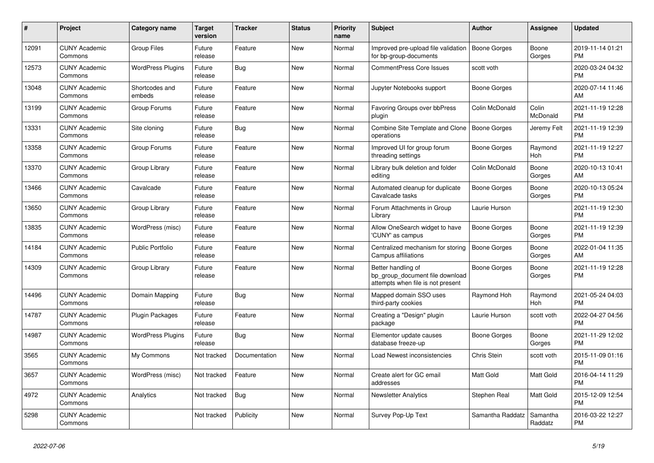| #     | <b>Project</b>                  | <b>Category name</b>     | <b>Target</b><br>version | <b>Tracker</b> | <b>Status</b> | <b>Priority</b><br>name | <b>Subject</b>                                                                             | <b>Author</b>       | Assignee            | <b>Updated</b>                |
|-------|---------------------------------|--------------------------|--------------------------|----------------|---------------|-------------------------|--------------------------------------------------------------------------------------------|---------------------|---------------------|-------------------------------|
| 12091 | <b>CUNY Academic</b><br>Commons | <b>Group Files</b>       | Future<br>release        | Feature        | New           | Normal                  | Improved pre-upload file validation<br>for bp-group-documents                              | <b>Boone Gorges</b> | Boone<br>Gorges     | 2019-11-14 01:21<br><b>PM</b> |
| 12573 | <b>CUNY Academic</b><br>Commons | <b>WordPress Plugins</b> | Future<br>release        | <b>Bug</b>     | <b>New</b>    | Normal                  | <b>CommentPress Core Issues</b>                                                            | scott voth          |                     | 2020-03-24 04:32<br>PM.       |
| 13048 | <b>CUNY Academic</b><br>Commons | Shortcodes and<br>embeds | Future<br>release        | Feature        | <b>New</b>    | Normal                  | Jupyter Notebooks support                                                                  | Boone Gorges        |                     | 2020-07-14 11:46<br>AM        |
| 13199 | <b>CUNY Academic</b><br>Commons | Group Forums             | Future<br>release        | Feature        | <b>New</b>    | Normal                  | Favoring Groups over bbPress<br>plugin                                                     | Colin McDonald      | Colin<br>McDonald   | 2021-11-19 12:28<br><b>PM</b> |
| 13331 | <b>CUNY Academic</b><br>Commons | Site cloning             | Future<br>release        | <b>Bug</b>     | New           | Normal                  | Combine Site Template and Clone<br>operations                                              | Boone Gorges        | Jeremy Felt         | 2021-11-19 12:39<br><b>PM</b> |
| 13358 | <b>CUNY Academic</b><br>Commons | Group Forums             | Future<br>release        | Feature        | New           | Normal                  | Improved UI for group forum<br>threading settings                                          | Boone Gorges        | Raymond<br>Hoh      | 2021-11-19 12:27<br><b>PM</b> |
| 13370 | <b>CUNY Academic</b><br>Commons | Group Library            | Future<br>release        | Feature        | New           | Normal                  | Library bulk deletion and folder<br>editing                                                | Colin McDonald      | Boone<br>Gorges     | 2020-10-13 10:41<br>AM        |
| 13466 | <b>CUNY Academic</b><br>Commons | Cavalcade                | Future<br>release        | Feature        | <b>New</b>    | Normal                  | Automated cleanup for duplicate<br>Cavalcade tasks                                         | Boone Gorges        | Boone<br>Gorges     | 2020-10-13 05:24<br>PM.       |
| 13650 | <b>CUNY Academic</b><br>Commons | Group Library            | Future<br>release        | Feature        | <b>New</b>    | Normal                  | Forum Attachments in Group<br>Library                                                      | Laurie Hurson       |                     | 2021-11-19 12:30<br><b>PM</b> |
| 13835 | <b>CUNY Academic</b><br>Commons | WordPress (misc)         | Future<br>release        | Feature        | <b>New</b>    | Normal                  | Allow OneSearch widget to have<br>'CUNY' as campus                                         | Boone Gorges        | Boone<br>Gorges     | 2021-11-19 12:39<br><b>PM</b> |
| 14184 | <b>CUNY Academic</b><br>Commons | Public Portfolio         | Future<br>release        | Feature        | <b>New</b>    | Normal                  | Centralized mechanism for storing<br>Campus affiliations                                   | <b>Boone Gorges</b> | Boone<br>Gorges     | 2022-01-04 11:35<br>AM.       |
| 14309 | <b>CUNY Academic</b><br>Commons | Group Library            | Future<br>release        | Feature        | New           | Normal                  | Better handling of<br>bp_group_document file download<br>attempts when file is not present | <b>Boone Gorges</b> | Boone<br>Gorges     | 2021-11-19 12:28<br><b>PM</b> |
| 14496 | <b>CUNY Academic</b><br>Commons | Domain Mapping           | Future<br>release        | Bug            | <b>New</b>    | Normal                  | Mapped domain SSO uses<br>third-party cookies                                              | Raymond Hoh         | Raymond<br>Hoh      | 2021-05-24 04:03<br><b>PM</b> |
| 14787 | <b>CUNY Academic</b><br>Commons | <b>Plugin Packages</b>   | Future<br>release        | Feature        | New           | Normal                  | Creating a "Design" plugin<br>package                                                      | Laurie Hurson       | scott voth          | 2022-04-27 04:56<br><b>PM</b> |
| 14987 | <b>CUNY Academic</b><br>Commons | <b>WordPress Plugins</b> | Future<br>release        | <b>Bug</b>     | <b>New</b>    | Normal                  | Elementor update causes<br>database freeze-up                                              | Boone Gorges        | Boone<br>Gorges     | 2021-11-29 12:02<br><b>PM</b> |
| 3565  | <b>CUNY Academic</b><br>Commons | My Commons               | Not tracked              | Documentation  | <b>New</b>    | Normal                  | Load Newest inconsistencies                                                                | Chris Stein         | scott voth          | 2015-11-09 01:16<br><b>PM</b> |
| 3657  | <b>CUNY Academic</b><br>Commons | WordPress (misc)         | Not tracked              | Feature        | <b>New</b>    | Normal                  | Create alert for GC email<br>addresses                                                     | Matt Gold           | Matt Gold           | 2016-04-14 11:29<br><b>PM</b> |
| 4972  | <b>CUNY Academic</b><br>Commons | Analytics                | Not tracked              | <b>Bug</b>     | <b>New</b>    | Normal                  | <b>Newsletter Analytics</b>                                                                | Stephen Real        | Matt Gold           | 2015-12-09 12:54<br><b>PM</b> |
| 5298  | <b>CUNY Academic</b><br>Commons |                          | Not tracked              | Publicity      | <b>New</b>    | Normal                  | Survey Pop-Up Text                                                                         | Samantha Raddatz    | Samantha<br>Raddatz | 2016-03-22 12:27<br><b>PM</b> |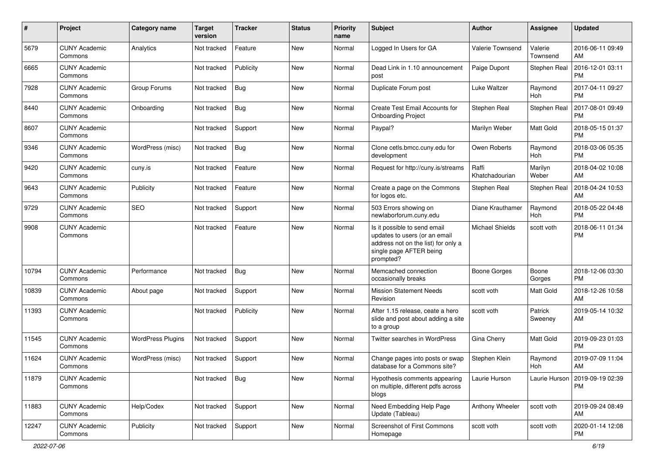| $\#$  | Project                         | <b>Category name</b>     | <b>Target</b><br>version | <b>Tracker</b> | <b>Status</b> | Priority<br>name | <b>Subject</b>                                                                                                                               | Author                  | <b>Assignee</b>     | <b>Updated</b>                |
|-------|---------------------------------|--------------------------|--------------------------|----------------|---------------|------------------|----------------------------------------------------------------------------------------------------------------------------------------------|-------------------------|---------------------|-------------------------------|
| 5679  | <b>CUNY Academic</b><br>Commons | Analytics                | Not tracked              | Feature        | <b>New</b>    | Normal           | Logged In Users for GA                                                                                                                       | Valerie Townsend        | Valerie<br>Townsend | 2016-06-11 09:49<br>AM        |
| 6665  | <b>CUNY Academic</b><br>Commons |                          | Not tracked              | Publicity      | New           | Normal           | Dead Link in 1.10 announcement<br>post                                                                                                       | Paige Dupont            | Stephen Real        | 2016-12-01 03:11<br><b>PM</b> |
| 7928  | <b>CUNY Academic</b><br>Commons | Group Forums             | Not tracked              | <b>Bug</b>     | <b>New</b>    | Normal           | Duplicate Forum post                                                                                                                         | Luke Waltzer            | Raymond<br>Hoh      | 2017-04-11 09:27<br><b>PM</b> |
| 8440  | <b>CUNY Academic</b><br>Commons | Onboarding               | Not tracked              | Bug            | <b>New</b>    | Normal           | Create Test Email Accounts for<br><b>Onboarding Project</b>                                                                                  | Stephen Real            | Stephen Real        | 2017-08-01 09:49<br><b>PM</b> |
| 8607  | <b>CUNY Academic</b><br>Commons |                          | Not tracked              | Support        | <b>New</b>    | Normal           | Paypal?                                                                                                                                      | Marilyn Weber           | Matt Gold           | 2018-05-15 01:37<br><b>PM</b> |
| 9346  | <b>CUNY Academic</b><br>Commons | WordPress (misc)         | Not tracked              | Bug            | <b>New</b>    | Normal           | Clone cetls.bmcc.cuny.edu for<br>development                                                                                                 | Owen Roberts            | Raymond<br>Hoh      | 2018-03-06 05:35<br><b>PM</b> |
| 9420  | <b>CUNY Academic</b><br>Commons | cuny.is                  | Not tracked              | Feature        | <b>New</b>    | Normal           | Request for http://cuny.is/streams                                                                                                           | Raffi<br>Khatchadourian | Marilyn<br>Weber    | 2018-04-02 10:08<br>AM        |
| 9643  | <b>CUNY Academic</b><br>Commons | Publicity                | Not tracked              | Feature        | <b>New</b>    | Normal           | Create a page on the Commons<br>for logos etc.                                                                                               | Stephen Real            | Stephen Real        | 2018-04-24 10:53<br>AM        |
| 9729  | <b>CUNY Academic</b><br>Commons | SEO                      | Not tracked              | Support        | New           | Normal           | 503 Errors showing on<br>newlaborforum.cuny.edu                                                                                              | Diane Krauthamer        | Raymond<br>Hoh      | 2018-05-22 04:48<br><b>PM</b> |
| 9908  | <b>CUNY Academic</b><br>Commons |                          | Not tracked              | Feature        | <b>New</b>    | Normal           | Is it possible to send email<br>updates to users (or an email<br>address not on the list) for only a<br>single page AFTER being<br>prompted? | <b>Michael Shields</b>  | scott voth          | 2018-06-11 01:34<br><b>PM</b> |
| 10794 | <b>CUNY Academic</b><br>Commons | Performance              | Not tracked              | Bug            | <b>New</b>    | Normal           | Memcached connection<br>occasionally breaks                                                                                                  | <b>Boone Gorges</b>     | Boone<br>Gorges     | 2018-12-06 03:30<br><b>PM</b> |
| 10839 | <b>CUNY Academic</b><br>Commons | About page               | Not tracked              | Support        | <b>New</b>    | Normal           | <b>Mission Statement Needs</b><br>Revision                                                                                                   | scott voth              | Matt Gold           | 2018-12-26 10:58<br>AM        |
| 11393 | <b>CUNY Academic</b><br>Commons |                          | Not tracked              | Publicity      | New           | Normal           | After 1.15 release, ceate a hero<br>slide and post about adding a site<br>to a group                                                         | scott voth              | Patrick<br>Sweeney  | 2019-05-14 10:32<br>AM        |
| 11545 | <b>CUNY Academic</b><br>Commons | <b>WordPress Plugins</b> | Not tracked              | Support        | New           | Normal           | Twitter searches in WordPress                                                                                                                | Gina Cherry             | Matt Gold           | 2019-09-23 01:03<br><b>PM</b> |
| 11624 | <b>CUNY Academic</b><br>Commons | WordPress (misc)         | Not tracked              | Support        | <b>New</b>    | Normal           | Change pages into posts or swap<br>database for a Commons site?                                                                              | Stephen Klein           | Raymond<br>Hoh      | 2019-07-09 11:04<br>AM        |
| 11879 | <b>CUNY Academic</b><br>Commons |                          | Not tracked              | Bug            | New           | Normal           | Hypothesis comments appearing<br>on multiple, different pdfs across<br>blogs                                                                 | Laurie Hurson           | Laurie Hurson       | 2019-09-19 02:39<br><b>PM</b> |
| 11883 | <b>CUNY Academic</b><br>Commons | Help/Codex               | Not tracked              | Support        | New           | Normal           | Need Embedding Help Page<br>Update (Tableau)                                                                                                 | Anthony Wheeler         | scott voth          | 2019-09-24 08:49<br>AM        |
| 12247 | <b>CUNY Academic</b><br>Commons | Publicity                | Not tracked              | Support        | New           | Normal           | Screenshot of First Commons<br>Homepage                                                                                                      | scott voth              | scott voth          | 2020-01-14 12:08<br>PM        |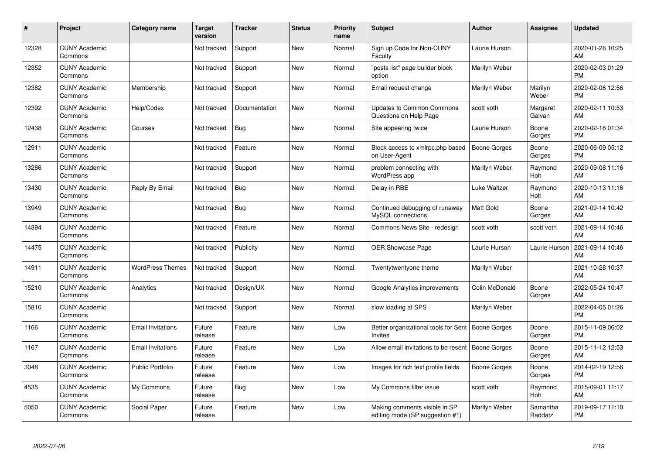| #     | Project                         | <b>Category name</b>     | Target<br>version | <b>Tracker</b> | <b>Status</b> | Priority<br>name | <b>Subject</b>                                                        | <b>Author</b>       | <b>Assignee</b>     | <b>Updated</b>                |
|-------|---------------------------------|--------------------------|-------------------|----------------|---------------|------------------|-----------------------------------------------------------------------|---------------------|---------------------|-------------------------------|
| 12328 | <b>CUNY Academic</b><br>Commons |                          | Not tracked       | Support        | <b>New</b>    | Normal           | Sign up Code for Non-CUNY<br>Faculty                                  | Laurie Hurson       |                     | 2020-01-28 10:25<br>AM        |
| 12352 | <b>CUNY Academic</b><br>Commons |                          | Not tracked       | Support        | <b>New</b>    | Normal           | "posts list" page builder block<br>option                             | Marilyn Weber       |                     | 2020-02-03 01:29<br><b>PM</b> |
| 12382 | <b>CUNY Academic</b><br>Commons | Membership               | Not tracked       | Support        | <b>New</b>    | Normal           | Email request change                                                  | Marilyn Weber       | Marilyn<br>Weber    | 2020-02-06 12:56<br><b>PM</b> |
| 12392 | <b>CUNY Academic</b><br>Commons | Help/Codex               | Not tracked       | Documentation  | <b>New</b>    | Normal           | <b>Updates to Common Commons</b><br>Questions on Help Page            | scott voth          | Margaret<br>Galvan  | 2020-02-11 10:53<br>AM        |
| 12438 | <b>CUNY Academic</b><br>Commons | Courses                  | Not tracked       | Bug            | <b>New</b>    | Normal           | Site appearing twice                                                  | Laurie Hurson       | Boone<br>Gorges     | 2020-02-18 01:34<br><b>PM</b> |
| 12911 | <b>CUNY Academic</b><br>Commons |                          | Not tracked       | Feature        | <b>New</b>    | Normal           | Block access to xmlrpc.php based<br>on User-Agent                     | <b>Boone Gorges</b> | Boone<br>Gorges     | 2020-06-09 05:12<br><b>PM</b> |
| 13286 | <b>CUNY Academic</b><br>Commons |                          | Not tracked       | Support        | <b>New</b>    | Normal           | problem connecting with<br>WordPress app                              | Marilyn Weber       | Raymond<br>Hoh      | 2020-09-08 11:16<br>AM        |
| 13430 | <b>CUNY Academic</b><br>Commons | Reply By Email           | Not tracked       | Bug            | New           | Normal           | Delay in RBE                                                          | Luke Waltzer        | Raymond<br>Hoh      | 2020-10-13 11:16<br>AM        |
| 13949 | <b>CUNY Academic</b><br>Commons |                          | Not tracked       | <b>Bug</b>     | New           | Normal           | Continued debugging of runaway<br>MySQL connections                   | <b>Matt Gold</b>    | Boone<br>Gorges     | 2021-09-14 10:42<br>AM        |
| 14394 | <b>CUNY Academic</b><br>Commons |                          | Not tracked       | Feature        | <b>New</b>    | Normal           | Commons News Site - redesign                                          | scott voth          | scott voth          | 2021-09-14 10:46<br>AM        |
| 14475 | <b>CUNY Academic</b><br>Commons |                          | Not tracked       | Publicity      | New           | Normal           | OER Showcase Page                                                     | Laurie Hurson       | Laurie Hurson       | 2021-09-14 10:46<br>AM        |
| 14911 | <b>CUNY Academic</b><br>Commons | <b>WordPress Themes</b>  | Not tracked       | Support        | New           | Normal           | Twentytwentyone theme                                                 | Marilyn Weber       |                     | 2021-10-28 10:37<br>AM        |
| 15210 | <b>CUNY Academic</b><br>Commons | Analytics                | Not tracked       | Design/UX      | New           | Normal           | Google Analytics improvements                                         | Colin McDonald      | Boone<br>Gorges     | 2022-05-24 10:47<br>AM        |
| 15816 | <b>CUNY Academic</b><br>Commons |                          | Not tracked       | Support        | New           | Normal           | slow loading at SPS                                                   | Marilyn Weber       |                     | 2022-04-05 01:26<br><b>PM</b> |
| 1166  | <b>CUNY Academic</b><br>Commons | <b>Email Invitations</b> | Future<br>release | Feature        | New           | Low              | Better organizational tools for Sent   Boone Gorges<br><b>Invites</b> |                     | Boone<br>Gorges     | 2015-11-09 06:02<br><b>PM</b> |
| 1167  | <b>CUNY Academic</b><br>Commons | <b>Email Invitations</b> | Future<br>release | Feature        | New           | Low              | Allow email invitations to be resent   Boone Gorges                   |                     | Boone<br>Gorges     | 2015-11-12 12:53<br>AM        |
| 3048  | <b>CUNY Academic</b><br>Commons | <b>Public Portfolio</b>  | Future<br>release | Feature        | New           | Low              | Images for rich text profile fields                                   | Boone Gorges        | Boone<br>Gorges     | 2014-02-19 12:56<br><b>PM</b> |
| 4535  | <b>CUNY Academic</b><br>Commons | My Commons               | Future<br>release | Bug            | New           | Low              | My Commons filter issue                                               | scott voth          | Raymond<br>Hoh      | 2015-09-01 11:17<br>AM        |
| 5050  | <b>CUNY Academic</b><br>Commons | Social Paper             | Future<br>release | Feature        | <b>New</b>    | Low              | Making comments visible in SP<br>editing mode (SP suggestion #1)      | Marilyn Weber       | Samantha<br>Raddatz | 2019-09-17 11:10<br><b>PM</b> |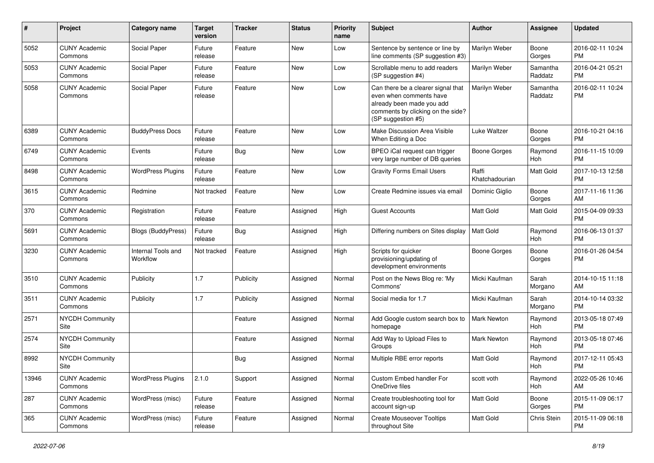| #     | Project                         | <b>Category name</b>           | <b>Target</b><br>version | <b>Tracker</b> | <b>Status</b> | <b>Priority</b><br>name | <b>Subject</b>                                                                                                                                        | Author                  | <b>Assignee</b>     | <b>Updated</b>                |
|-------|---------------------------------|--------------------------------|--------------------------|----------------|---------------|-------------------------|-------------------------------------------------------------------------------------------------------------------------------------------------------|-------------------------|---------------------|-------------------------------|
| 5052  | <b>CUNY Academic</b><br>Commons | Social Paper                   | Future<br>release        | Feature        | <b>New</b>    | Low                     | Sentence by sentence or line by<br>line comments (SP suggestion #3)                                                                                   | Marilyn Weber           | Boone<br>Gorges     | 2016-02-11 10:24<br><b>PM</b> |
| 5053  | <b>CUNY Academic</b><br>Commons | Social Paper                   | Future<br>release        | Feature        | New           | Low                     | Scrollable menu to add readers<br>(SP suggestion #4)                                                                                                  | Marilyn Weber           | Samantha<br>Raddatz | 2016-04-21 05:21<br><b>PM</b> |
| 5058  | <b>CUNY Academic</b><br>Commons | Social Paper                   | Future<br>release        | Feature        | <b>New</b>    | Low                     | Can there be a clearer signal that<br>even when comments have<br>already been made you add<br>comments by clicking on the side?<br>(SP suggestion #5) | Marilyn Weber           | Samantha<br>Raddatz | 2016-02-11 10:24<br><b>PM</b> |
| 6389  | <b>CUNY Academic</b><br>Commons | <b>BuddyPress Docs</b>         | Future<br>release        | Feature        | New           | Low                     | Make Discussion Area Visible<br>When Editing a Doc                                                                                                    | Luke Waltzer            | Boone<br>Gorges     | 2016-10-21 04:16<br><b>PM</b> |
| 6749  | <b>CUNY Academic</b><br>Commons | Events                         | Future<br>release        | Bug            | New           | Low                     | BPEO iCal request can trigger<br>very large number of DB queries                                                                                      | <b>Boone Gorges</b>     | Raymond<br>Hoh      | 2016-11-15 10:09<br><b>PM</b> |
| 8498  | <b>CUNY Academic</b><br>Commons | <b>WordPress Plugins</b>       | Future<br>release        | Feature        | New           | Low                     | <b>Gravity Forms Email Users</b>                                                                                                                      | Raffi<br>Khatchadourian | Matt Gold           | 2017-10-13 12:58<br><b>PM</b> |
| 3615  | <b>CUNY Academic</b><br>Commons | Redmine                        | Not tracked              | Feature        | New           | Low                     | Create Redmine issues via email                                                                                                                       | Dominic Giglio          | Boone<br>Gorges     | 2017-11-16 11:36<br>AM        |
| 370   | <b>CUNY Academic</b><br>Commons | Registration                   | Future<br>release        | Feature        | Assigned      | High                    | <b>Guest Accounts</b>                                                                                                                                 | <b>Matt Gold</b>        | Matt Gold           | 2015-04-09 09:33<br><b>PM</b> |
| 5691  | <b>CUNY Academic</b><br>Commons | Blogs (BuddyPress)             | Future<br>release        | Bug            | Assigned      | High                    | Differing numbers on Sites display                                                                                                                    | <b>Matt Gold</b>        | Raymond<br>Hoh      | 2016-06-13 01:37<br><b>PM</b> |
| 3230  | <b>CUNY Academic</b><br>Commons | Internal Tools and<br>Workflow | Not tracked              | Feature        | Assigned      | High                    | Scripts for quicker<br>provisioning/updating of<br>development environments                                                                           | <b>Boone Gorges</b>     | Boone<br>Gorges     | 2016-01-26 04:54<br><b>PM</b> |
| 3510  | <b>CUNY Academic</b><br>Commons | Publicity                      | 1.7                      | Publicity      | Assigned      | Normal                  | Post on the News Blog re: 'My<br>Commons'                                                                                                             | Micki Kaufman           | Sarah<br>Morgano    | 2014-10-15 11:18<br>AM        |
| 3511  | <b>CUNY Academic</b><br>Commons | Publicity                      | 1.7                      | Publicity      | Assigned      | Normal                  | Social media for 1.7                                                                                                                                  | Micki Kaufman           | Sarah<br>Morgano    | 2014-10-14 03:32<br><b>PM</b> |
| 2571  | <b>NYCDH Community</b><br>Site  |                                |                          | Feature        | Assigned      | Normal                  | Add Google custom search box to<br>homepage                                                                                                           | <b>Mark Newton</b>      | Raymond<br>Hoh      | 2013-05-18 07:49<br><b>PM</b> |
| 2574  | <b>NYCDH Community</b><br>Site  |                                |                          | Feature        | Assigned      | Normal                  | Add Way to Upload Files to<br>Groups                                                                                                                  | Mark Newton             | Raymond<br>Hoh      | 2013-05-18 07:46<br><b>PM</b> |
| 8992  | <b>NYCDH Community</b><br>Site  |                                |                          | <b>Bug</b>     | Assigned      | Normal                  | Multiple RBE error reports                                                                                                                            | <b>Matt Gold</b>        | Raymond<br>Hoh      | 2017-12-11 05:43<br><b>PM</b> |
| 13946 | <b>CUNY Academic</b><br>Commons | <b>WordPress Plugins</b>       | 2.1.0                    | Support        | Assigned      | Normal                  | Custom Embed handler For<br>OneDrive files                                                                                                            | scott voth              | Raymond<br>Hoh      | 2022-05-26 10:46<br>AM        |
| 287   | <b>CUNY Academic</b><br>Commons | WordPress (misc)               | Future<br>release        | Feature        | Assigned      | Normal                  | Create troubleshooting tool for<br>account sign-up                                                                                                    | Matt Gold               | Boone<br>Gorges     | 2015-11-09 06:17<br><b>PM</b> |
| 365   | <b>CUNY Academic</b><br>Commons | WordPress (misc)               | Future<br>release        | Feature        | Assigned      | Normal                  | <b>Create Mouseover Tooltips</b><br>throughout Site                                                                                                   | Matt Gold               | Chris Stein         | 2015-11-09 06:18<br><b>PM</b> |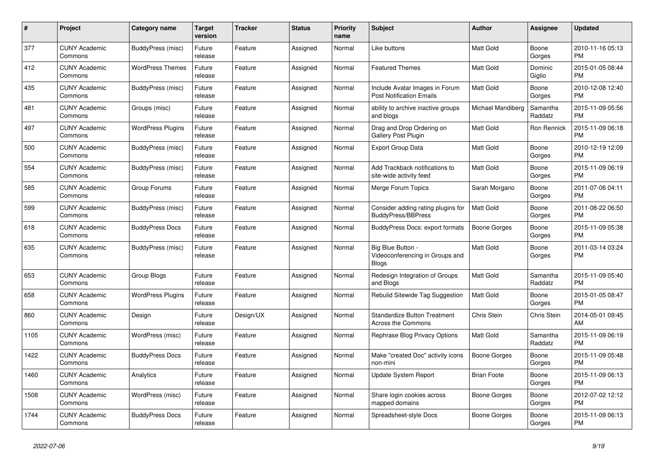| #    | Project                         | <b>Category name</b>     | <b>Target</b><br>version | Tracker   | <b>Status</b> | <b>Priority</b><br>name | <b>Subject</b>                                                    | <b>Author</b>       | Assignee            | <b>Updated</b>                |
|------|---------------------------------|--------------------------|--------------------------|-----------|---------------|-------------------------|-------------------------------------------------------------------|---------------------|---------------------|-------------------------------|
| 377  | <b>CUNY Academic</b><br>Commons | BuddyPress (misc)        | Future<br>release        | Feature   | Assigned      | Normal                  | Like buttons                                                      | Matt Gold           | Boone<br>Gorges     | 2010-11-16 05:13<br><b>PM</b> |
| 412  | <b>CUNY Academic</b><br>Commons | <b>WordPress Themes</b>  | Future<br>release        | Feature   | Assigned      | Normal                  | <b>Featured Themes</b>                                            | Matt Gold           | Dominic<br>Giglio   | 2015-01-05 08:44<br><b>PM</b> |
| 435  | <b>CUNY Academic</b><br>Commons | BuddyPress (misc)        | Future<br>release        | Feature   | Assigned      | Normal                  | Include Avatar Images in Forum<br><b>Post Notification Emails</b> | Matt Gold           | Boone<br>Gorges     | 2010-12-08 12:40<br><b>PM</b> |
| 481  | <b>CUNY Academic</b><br>Commons | Groups (misc)            | Future<br>release        | Feature   | Assigned      | Normal                  | ability to archive inactive groups<br>and blogs                   | Michael Mandiberg   | Samantha<br>Raddatz | 2015-11-09 05:56<br><b>PM</b> |
| 497  | <b>CUNY Academic</b><br>Commons | <b>WordPress Plugins</b> | Future<br>release        | Feature   | Assigned      | Normal                  | Drag and Drop Ordering on<br>Gallery Post Plugin                  | Matt Gold           | Ron Rennick         | 2015-11-09 06:18<br><b>PM</b> |
| 500  | <b>CUNY Academic</b><br>Commons | BuddyPress (misc)        | Future<br>release        | Feature   | Assigned      | Normal                  | <b>Export Group Data</b>                                          | Matt Gold           | Boone<br>Gorges     | 2010-12-19 12:09<br><b>PM</b> |
| 554  | <b>CUNY Academic</b><br>Commons | BuddyPress (misc)        | Future<br>release        | Feature   | Assigned      | Normal                  | Add Trackback notifications to<br>site-wide activity feed         | Matt Gold           | Boone<br>Gorges     | 2015-11-09 06:19<br><b>PM</b> |
| 585  | <b>CUNY Academic</b><br>Commons | Group Forums             | Future<br>release        | Feature   | Assigned      | Normal                  | Merge Forum Topics                                                | Sarah Morgano       | Boone<br>Gorges     | 2011-07-06 04:11<br><b>PM</b> |
| 599  | <b>CUNY Academic</b><br>Commons | BuddyPress (misc)        | Future<br>release        | Feature   | Assigned      | Normal                  | Consider adding rating plugins for<br><b>BuddyPress/BBPress</b>   | Matt Gold           | Boone<br>Gorges     | 2011-08-22 06:50<br><b>PM</b> |
| 618  | <b>CUNY Academic</b><br>Commons | <b>BuddyPress Docs</b>   | Future<br>release        | Feature   | Assigned      | Normal                  | <b>BuddyPress Docs: export formats</b>                            | Boone Gorges        | Boone<br>Gorges     | 2015-11-09 05:38<br><b>PM</b> |
| 635  | <b>CUNY Academic</b><br>Commons | BuddyPress (misc)        | Future<br>release        | Feature   | Assigned      | Normal                  | Big Blue Button -<br>Videoconferencing in Groups and<br>Blogs     | Matt Gold           | Boone<br>Gorges     | 2011-03-14 03:24<br><b>PM</b> |
| 653  | <b>CUNY Academic</b><br>Commons | Group Blogs              | Future<br>release        | Feature   | Assigned      | Normal                  | Redesign Integration of Groups<br>and Blogs                       | Matt Gold           | Samantha<br>Raddatz | 2015-11-09 05:40<br><b>PM</b> |
| 658  | <b>CUNY Academic</b><br>Commons | <b>WordPress Plugins</b> | Future<br>release        | Feature   | Assigned      | Normal                  | Rebulid Sitewide Tag Suggestion                                   | <b>Matt Gold</b>    | Boone<br>Gorges     | 2015-01-05 08:47<br><b>PM</b> |
| 860  | <b>CUNY Academic</b><br>Commons | Design                   | Future<br>release        | Design/UX | Assigned      | Normal                  | <b>Standardize Button Treatment</b><br><b>Across the Commons</b>  | Chris Stein         | Chris Stein         | 2014-05-01 09:45<br>AM        |
| 1105 | <b>CUNY Academic</b><br>Commons | WordPress (misc)         | Future<br>release        | Feature   | Assigned      | Normal                  | Rephrase Blog Privacy Options                                     | Matt Gold           | Samantha<br>Raddatz | 2015-11-09 06:19<br><b>PM</b> |
| 1422 | <b>CUNY Academic</b><br>Commons | <b>BuddyPress Docs</b>   | Future<br>release        | Feature   | Assigned      | Normal                  | Make "created Doc" activity icons<br>non-mini                     | <b>Boone Gorges</b> | Boone<br>Gorges     | 2015-11-09 05:48<br><b>PM</b> |
| 1460 | <b>CUNY Academic</b><br>Commons | Analytics                | Future<br>release        | Feature   | Assigned      | Normal                  | Update System Report                                              | <b>Brian Foote</b>  | Boone<br>Gorges     | 2015-11-09 06:13<br><b>PM</b> |
| 1508 | <b>CUNY Academic</b><br>Commons | WordPress (misc)         | Future<br>release        | Feature   | Assigned      | Normal                  | Share login cookies across<br>mapped domains                      | Boone Gorges        | Boone<br>Gorges     | 2012-07-02 12:12<br><b>PM</b> |
| 1744 | <b>CUNY Academic</b><br>Commons | <b>BuddyPress Docs</b>   | Future<br>release        | Feature   | Assigned      | Normal                  | Spreadsheet-style Docs                                            | Boone Gorges        | Boone<br>Gorges     | 2015-11-09 06:13<br><b>PM</b> |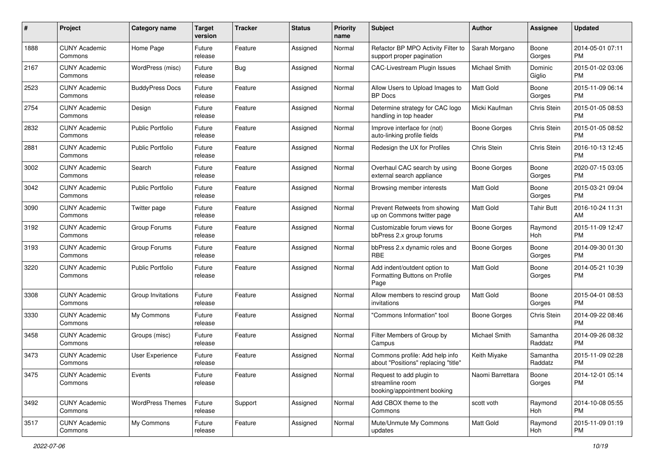| #    | Project                         | <b>Category name</b>    | <b>Target</b><br>version | <b>Tracker</b> | <b>Status</b> | Priority<br>name | <b>Subject</b>                                                             | Author              | <b>Assignee</b>     | <b>Updated</b>                |
|------|---------------------------------|-------------------------|--------------------------|----------------|---------------|------------------|----------------------------------------------------------------------------|---------------------|---------------------|-------------------------------|
| 1888 | <b>CUNY Academic</b><br>Commons | Home Page               | Future<br>release        | Feature        | Assigned      | Normal           | Refactor BP MPO Activity Filter to<br>support proper pagination            | Sarah Morgano       | Boone<br>Gorges     | 2014-05-01 07:11<br><b>PM</b> |
| 2167 | <b>CUNY Academic</b><br>Commons | WordPress (misc)        | Future<br>release        | Bug            | Assigned      | Normal           | <b>CAC-Livestream Plugin Issues</b>                                        | Michael Smith       | Dominic<br>Giglio   | 2015-01-02 03:06<br><b>PM</b> |
| 2523 | <b>CUNY Academic</b><br>Commons | <b>BuddyPress Docs</b>  | Future<br>release        | Feature        | Assigned      | Normal           | Allow Users to Upload Images to<br><b>BP</b> Docs                          | Matt Gold           | Boone<br>Gorges     | 2015-11-09 06:14<br><b>PM</b> |
| 2754 | <b>CUNY Academic</b><br>Commons | Design                  | Future<br>release        | Feature        | Assigned      | Normal           | Determine strategy for CAC logo<br>handling in top header                  | Micki Kaufman       | Chris Stein         | 2015-01-05 08:53<br>PM.       |
| 2832 | <b>CUNY Academic</b><br>Commons | <b>Public Portfolio</b> | Future<br>release        | Feature        | Assigned      | Normal           | Improve interface for (not)<br>auto-linking profile fields                 | Boone Gorges        | Chris Stein         | 2015-01-05 08:52<br><b>PM</b> |
| 2881 | <b>CUNY Academic</b><br>Commons | <b>Public Portfolio</b> | Future<br>release        | Feature        | Assigned      | Normal           | Redesign the UX for Profiles                                               | Chris Stein         | Chris Stein         | 2016-10-13 12:45<br><b>PM</b> |
| 3002 | <b>CUNY Academic</b><br>Commons | Search                  | Future<br>release        | Feature        | Assigned      | Normal           | Overhaul CAC search by using<br>external search appliance                  | <b>Boone Gorges</b> | Boone<br>Gorges     | 2020-07-15 03:05<br>PM.       |
| 3042 | <b>CUNY Academic</b><br>Commons | <b>Public Portfolio</b> | Future<br>release        | Feature        | Assigned      | Normal           | Browsing member interests                                                  | <b>Matt Gold</b>    | Boone<br>Gorges     | 2015-03-21 09:04<br><b>PM</b> |
| 3090 | <b>CUNY Academic</b><br>Commons | Twitter page            | Future<br>release        | Feature        | Assigned      | Normal           | Prevent Retweets from showing<br>up on Commons twitter page                | <b>Matt Gold</b>    | Tahir Butt          | 2016-10-24 11:31<br>AM        |
| 3192 | <b>CUNY Academic</b><br>Commons | Group Forums            | Future<br>release        | Feature        | Assigned      | Normal           | Customizable forum views for<br>bbPress 2.x group forums                   | <b>Boone Gorges</b> | Raymond<br>Hoh      | 2015-11-09 12:47<br><b>PM</b> |
| 3193 | <b>CUNY Academic</b><br>Commons | Group Forums            | Future<br>release        | Feature        | Assigned      | Normal           | bbPress 2.x dynamic roles and<br><b>RBE</b>                                | Boone Gorges        | Boone<br>Gorges     | 2014-09-30 01:30<br>PM.       |
| 3220 | <b>CUNY Academic</b><br>Commons | <b>Public Portfolio</b> | Future<br>release        | Feature        | Assigned      | Normal           | Add indent/outdent option to<br>Formatting Buttons on Profile<br>Page      | <b>Matt Gold</b>    | Boone<br>Gorges     | 2014-05-21 10:39<br><b>PM</b> |
| 3308 | <b>CUNY Academic</b><br>Commons | Group Invitations       | Future<br>release        | Feature        | Assigned      | Normal           | Allow members to rescind group<br>invitations                              | <b>Matt Gold</b>    | Boone<br>Gorges     | 2015-04-01 08:53<br><b>PM</b> |
| 3330 | <b>CUNY Academic</b><br>Commons | My Commons              | Future<br>release        | Feature        | Assigned      | Normal           | 'Commons Information" tool                                                 | Boone Gorges        | Chris Stein         | 2014-09-22 08:46<br><b>PM</b> |
| 3458 | <b>CUNY Academic</b><br>Commons | Groups (misc)           | Future<br>release        | Feature        | Assigned      | Normal           | Filter Members of Group by<br>Campus                                       | Michael Smith       | Samantha<br>Raddatz | 2014-09-26 08:32<br><b>PM</b> |
| 3473 | <b>CUNY Academic</b><br>Commons | User Experience         | Future<br>release        | Feature        | Assigned      | Normal           | Commons profile: Add help info<br>about "Positions" replacing "title"      | Keith Miyake        | Samantha<br>Raddatz | 2015-11-09 02:28<br><b>PM</b> |
| 3475 | <b>CUNY Academic</b><br>Commons | Events                  | Future<br>release        | Feature        | Assigned      | Normal           | Request to add plugin to<br>streamline room<br>booking/appointment booking | Naomi Barrettara    | Boone<br>Gorges     | 2014-12-01 05:14<br><b>PM</b> |
| 3492 | <b>CUNY Academic</b><br>Commons | <b>WordPress Themes</b> | Future<br>release        | Support        | Assigned      | Normal           | Add CBOX theme to the<br>Commons                                           | scott voth          | Raymond<br>Hoh      | 2014-10-08 05:55<br><b>PM</b> |
| 3517 | <b>CUNY Academic</b><br>Commons | My Commons              | Future<br>release        | Feature        | Assigned      | Normal           | Mute/Unmute My Commons<br>updates                                          | Matt Gold           | Raymond<br>Hoh      | 2015-11-09 01:19<br><b>PM</b> |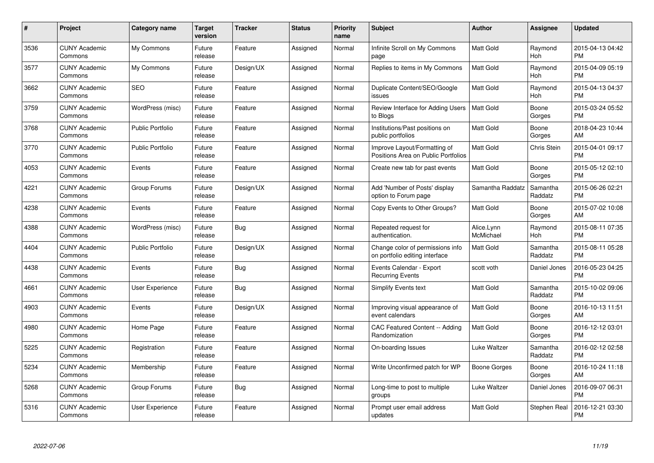| $\#$ | Project                         | <b>Category name</b>    | <b>Target</b><br>version | <b>Tracker</b> | <b>Status</b> | <b>Priority</b><br>name | <b>Subject</b>                                                      | <b>Author</b>           | <b>Assignee</b>     | <b>Updated</b>                |
|------|---------------------------------|-------------------------|--------------------------|----------------|---------------|-------------------------|---------------------------------------------------------------------|-------------------------|---------------------|-------------------------------|
| 3536 | <b>CUNY Academic</b><br>Commons | My Commons              | Future<br>release        | Feature        | Assigned      | Normal                  | Infinite Scroll on My Commons<br>page                               | <b>Matt Gold</b>        | Raymond<br>Hoh      | 2015-04-13 04:42<br><b>PM</b> |
| 3577 | <b>CUNY Academic</b><br>Commons | My Commons              | Future<br>release        | Design/UX      | Assigned      | Normal                  | Replies to items in My Commons                                      | <b>Matt Gold</b>        | Raymond<br>Hoh      | 2015-04-09 05:19<br><b>PM</b> |
| 3662 | <b>CUNY Academic</b><br>Commons | <b>SEO</b>              | Future<br>release        | Feature        | Assigned      | Normal                  | Duplicate Content/SEO/Google<br>issues                              | Matt Gold               | Raymond<br>Hoh      | 2015-04-13 04:37<br><b>PM</b> |
| 3759 | <b>CUNY Academic</b><br>Commons | WordPress (misc)        | Future<br>release        | Feature        | Assigned      | Normal                  | Review Interface for Adding Users<br>to Blogs                       | <b>Matt Gold</b>        | Boone<br>Gorges     | 2015-03-24 05:52<br><b>PM</b> |
| 3768 | <b>CUNY Academic</b><br>Commons | <b>Public Portfolio</b> | Future<br>release        | Feature        | Assigned      | Normal                  | Institutions/Past positions on<br>public portfolios                 | <b>Matt Gold</b>        | Boone<br>Gorges     | 2018-04-23 10:44<br>AM        |
| 3770 | <b>CUNY Academic</b><br>Commons | <b>Public Portfolio</b> | Future<br>release        | Feature        | Assigned      | Normal                  | Improve Layout/Formatting of<br>Positions Area on Public Portfolios | <b>Matt Gold</b>        | <b>Chris Stein</b>  | 2015-04-01 09:17<br><b>PM</b> |
| 4053 | <b>CUNY Academic</b><br>Commons | Events                  | Future<br>release        | Feature        | Assigned      | Normal                  | Create new tab for past events                                      | Matt Gold               | Boone<br>Gorges     | 2015-05-12 02:10<br><b>PM</b> |
| 4221 | <b>CUNY Academic</b><br>Commons | Group Forums            | Future<br>release        | Design/UX      | Assigned      | Normal                  | Add 'Number of Posts' display<br>option to Forum page               | Samantha Raddatz        | Samantha<br>Raddatz | 2015-06-26 02:21<br><b>PM</b> |
| 4238 | <b>CUNY Academic</b><br>Commons | Events                  | Future<br>release        | Feature        | Assigned      | Normal                  | Copy Events to Other Groups?                                        | <b>Matt Gold</b>        | Boone<br>Gorges     | 2015-07-02 10:08<br>AM        |
| 4388 | <b>CUNY Academic</b><br>Commons | WordPress (misc)        | Future<br>release        | Bug            | Assigned      | Normal                  | Repeated request for<br>authentication.                             | Alice.Lynn<br>McMichael | Raymond<br>Hoh      | 2015-08-11 07:35<br><b>PM</b> |
| 4404 | <b>CUNY Academic</b><br>Commons | Public Portfolio        | Future<br>release        | Design/UX      | Assigned      | Normal                  | Change color of permissions info<br>on portfolio editing interface  | Matt Gold               | Samantha<br>Raddatz | 2015-08-11 05:28<br><b>PM</b> |
| 4438 | <b>CUNY Academic</b><br>Commons | Events                  | Future<br>release        | <b>Bug</b>     | Assigned      | Normal                  | Events Calendar - Export<br><b>Recurring Events</b>                 | scott voth              | Daniel Jones        | 2016-05-23 04:25<br><b>PM</b> |
| 4661 | <b>CUNY Academic</b><br>Commons | User Experience         | Future<br>release        | Bug            | Assigned      | Normal                  | <b>Simplify Events text</b>                                         | Matt Gold               | Samantha<br>Raddatz | 2015-10-02 09:06<br><b>PM</b> |
| 4903 | <b>CUNY Academic</b><br>Commons | Events                  | Future<br>release        | Design/UX      | Assigned      | Normal                  | Improving visual appearance of<br>event calendars                   | Matt Gold               | Boone<br>Gorges     | 2016-10-13 11:51<br>AM        |
| 4980 | <b>CUNY Academic</b><br>Commons | Home Page               | Future<br>release        | Feature        | Assigned      | Normal                  | <b>CAC Featured Content -- Adding</b><br>Randomization              | <b>Matt Gold</b>        | Boone<br>Gorges     | 2016-12-12 03:01<br><b>PM</b> |
| 5225 | <b>CUNY Academic</b><br>Commons | Registration            | Future<br>release        | Feature        | Assigned      | Normal                  | On-boarding Issues                                                  | Luke Waltzer            | Samantha<br>Raddatz | 2016-02-12 02:58<br><b>PM</b> |
| 5234 | <b>CUNY Academic</b><br>Commons | Membership              | Future<br>release        | Feature        | Assigned      | Normal                  | Write Unconfirmed patch for WP                                      | Boone Gorges            | Boone<br>Gorges     | 2016-10-24 11:18<br>AM        |
| 5268 | <b>CUNY Academic</b><br>Commons | Group Forums            | Future<br>release        | <b>Bug</b>     | Assigned      | Normal                  | Long-time to post to multiple<br>groups                             | Luke Waltzer            | Daniel Jones        | 2016-09-07 06:31<br><b>PM</b> |
| 5316 | CUNY Academic<br>Commons        | User Experience         | Future<br>release        | Feature        | Assigned      | Normal                  | Prompt user email address<br>updates                                | <b>Matt Gold</b>        | Stephen Real        | 2016-12-21 03:30<br><b>PM</b> |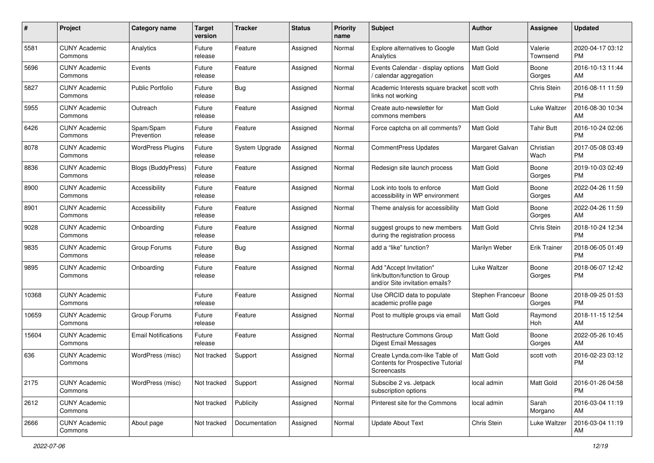| #     | Project                         | <b>Category name</b>       | <b>Target</b><br>version | <b>Tracker</b> | <b>Status</b> | Priority<br>name | <b>Subject</b>                                                                             | Author            | <b>Assignee</b>     | <b>Updated</b>                |
|-------|---------------------------------|----------------------------|--------------------------|----------------|---------------|------------------|--------------------------------------------------------------------------------------------|-------------------|---------------------|-------------------------------|
| 5581  | <b>CUNY Academic</b><br>Commons | Analytics                  | Future<br>release        | Feature        | Assigned      | Normal           | Explore alternatives to Google<br>Analytics                                                | <b>Matt Gold</b>  | Valerie<br>Townsend | 2020-04-17 03:12<br><b>PM</b> |
| 5696  | <b>CUNY Academic</b><br>Commons | Events                     | Future<br>release        | Feature        | Assigned      | Normal           | Events Calendar - display options<br>calendar aggregation                                  | <b>Matt Gold</b>  | Boone<br>Gorges     | 2016-10-13 11:44<br>AM        |
| 5827  | <b>CUNY Academic</b><br>Commons | <b>Public Portfolio</b>    | Future<br>release        | Bug            | Assigned      | Normal           | Academic Interests square bracket<br>links not working                                     | scott voth        | Chris Stein         | 2016-08-11 11:59<br><b>PM</b> |
| 5955  | <b>CUNY Academic</b><br>Commons | Outreach                   | Future<br>release        | Feature        | Assigned      | Normal           | Create auto-newsletter for<br>commons members                                              | <b>Matt Gold</b>  | <b>Luke Waltzer</b> | 2016-08-30 10:34<br>AM        |
| 6426  | <b>CUNY Academic</b><br>Commons | Spam/Spam<br>Prevention    | Future<br>release        | Feature        | Assigned      | Normal           | Force captcha on all comments?                                                             | <b>Matt Gold</b>  | <b>Tahir Butt</b>   | 2016-10-24 02:06<br><b>PM</b> |
| 8078  | <b>CUNY Academic</b><br>Commons | <b>WordPress Plugins</b>   | Future<br>release        | System Upgrade | Assigned      | Normal           | <b>CommentPress Updates</b>                                                                | Margaret Galvan   | Christian<br>Wach   | 2017-05-08 03:49<br><b>PM</b> |
| 8836  | <b>CUNY Academic</b><br>Commons | <b>Blogs (BuddyPress)</b>  | Future<br>release        | Feature        | Assigned      | Normal           | Redesign site launch process                                                               | Matt Gold         | Boone<br>Gorges     | 2019-10-03 02:49<br>PM.       |
| 8900  | <b>CUNY Academic</b><br>Commons | Accessibility              | Future<br>release        | Feature        | Assigned      | Normal           | Look into tools to enforce<br>accessibility in WP environment                              | <b>Matt Gold</b>  | Boone<br>Gorges     | 2022-04-26 11:59<br>AM        |
| 8901  | <b>CUNY Academic</b><br>Commons | Accessibility              | Future<br>release        | Feature        | Assigned      | Normal           | Theme analysis for accessibility                                                           | Matt Gold         | Boone<br>Gorges     | 2022-04-26 11:59<br>AM        |
| 9028  | <b>CUNY Academic</b><br>Commons | Onboarding                 | Future<br>release        | Feature        | Assigned      | Normal           | suggest groups to new members<br>during the registration process                           | Matt Gold         | Chris Stein         | 2018-10-24 12:34<br><b>PM</b> |
| 9835  | <b>CUNY Academic</b><br>Commons | Group Forums               | Future<br>release        | <b>Bug</b>     | Assigned      | Normal           | add a "like" function?                                                                     | Marilyn Weber     | <b>Erik Trainer</b> | 2018-06-05 01:49<br><b>PM</b> |
| 9895  | <b>CUNY Academic</b><br>Commons | Onboarding                 | Future<br>release        | Feature        | Assigned      | Normal           | Add "Accept Invitation"<br>link/button/function to Group<br>and/or Site invitation emails? | Luke Waltzer      | Boone<br>Gorges     | 2018-06-07 12:42<br><b>PM</b> |
| 10368 | <b>CUNY Academic</b><br>Commons |                            | Future<br>release        | Feature        | Assigned      | Normal           | Use ORCID data to populate<br>academic profile page                                        | Stephen Francoeur | Boone<br>Gorges     | 2018-09-25 01:53<br><b>PM</b> |
| 10659 | <b>CUNY Academic</b><br>Commons | Group Forums               | Future<br>release        | Feature        | Assigned      | Normal           | Post to multiple groups via email                                                          | Matt Gold         | Raymond<br>Hoh      | 2018-11-15 12:54<br>AM        |
| 15604 | <b>CUNY Academic</b><br>Commons | <b>Email Notifications</b> | Future<br>release        | Feature        | Assigned      | Normal           | <b>Restructure Commons Group</b><br><b>Digest Email Messages</b>                           | <b>Matt Gold</b>  | Boone<br>Gorges     | 2022-05-26 10:45<br>AM        |
| 636   | <b>CUNY Academic</b><br>Commons | WordPress (misc)           | Not tracked              | Support        | Assigned      | Normal           | Create Lynda.com-like Table of<br><b>Contents for Prospective Tutorial</b><br>Screencasts  | <b>Matt Gold</b>  | scott voth          | 2016-02-23 03:12<br><b>PM</b> |
| 2175  | <b>CUNY Academic</b><br>Commons | WordPress (misc)           | Not tracked              | Support        | Assigned      | Normal           | Subscibe 2 vs. Jetpack<br>subscription options                                             | local admin       | Matt Gold           | 2016-01-26 04:58<br>PM        |
| 2612  | <b>CUNY Academic</b><br>Commons |                            | Not tracked              | Publicity      | Assigned      | Normal           | Pinterest site for the Commons                                                             | local admin       | Sarah<br>Morgano    | 2016-03-04 11:19<br>AM        |
| 2666  | <b>CUNY Academic</b><br>Commons | About page                 | Not tracked              | Documentation  | Assigned      | Normal           | <b>Update About Text</b>                                                                   | Chris Stein       | Luke Waltzer        | 2016-03-04 11:19<br>AM        |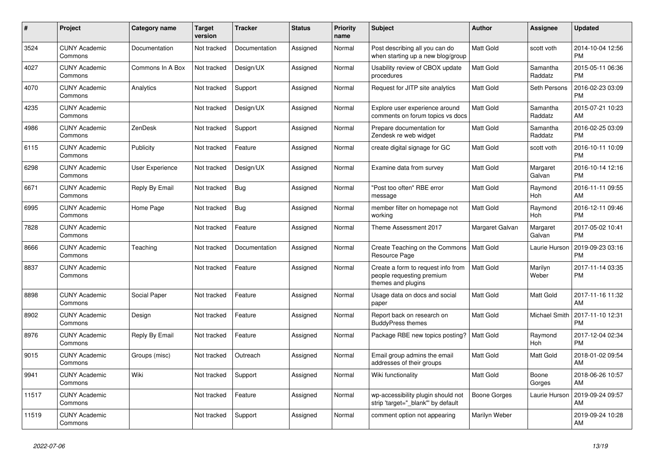| #     | <b>Project</b>                  | <b>Category name</b>   | <b>Target</b><br>version | <b>Tracker</b> | <b>Status</b> | <b>Priority</b><br>name | <b>Subject</b>                                                                        | <b>Author</b>       | Assignee            | <b>Updated</b>                |
|-------|---------------------------------|------------------------|--------------------------|----------------|---------------|-------------------------|---------------------------------------------------------------------------------------|---------------------|---------------------|-------------------------------|
| 3524  | <b>CUNY Academic</b><br>Commons | Documentation          | Not tracked              | Documentation  | Assigned      | Normal                  | Post describing all you can do<br>when starting up a new blog/group                   | <b>Matt Gold</b>    | scott voth          | 2014-10-04 12:56<br><b>PM</b> |
| 4027  | <b>CUNY Academic</b><br>Commons | Commons In A Box       | Not tracked              | Design/UX      | Assigned      | Normal                  | Usability review of CBOX update<br>procedures                                         | Matt Gold           | Samantha<br>Raddatz | 2015-05-11 06:36<br><b>PM</b> |
| 4070  | <b>CUNY Academic</b><br>Commons | Analytics              | Not tracked              | Support        | Assigned      | Normal                  | Request for JITP site analytics                                                       | <b>Matt Gold</b>    | Seth Persons        | 2016-02-23 03:09<br><b>PM</b> |
| 4235  | <b>CUNY Academic</b><br>Commons |                        | Not tracked              | Design/UX      | Assigned      | Normal                  | Explore user experience around<br>comments on forum topics vs docs                    | <b>Matt Gold</b>    | Samantha<br>Raddatz | 2015-07-21 10:23<br>AM        |
| 4986  | <b>CUNY Academic</b><br>Commons | ZenDesk                | Not tracked              | Support        | Assigned      | Normal                  | Prepare documentation for<br>Zendesk re web widget                                    | <b>Matt Gold</b>    | Samantha<br>Raddatz | 2016-02-25 03:09<br><b>PM</b> |
| 6115  | <b>CUNY Academic</b><br>Commons | Publicity              | Not tracked              | Feature        | Assigned      | Normal                  | create digital signage for GC                                                         | <b>Matt Gold</b>    | scott voth          | 2016-10-11 10:09<br><b>PM</b> |
| 6298  | <b>CUNY Academic</b><br>Commons | <b>User Experience</b> | Not tracked              | Design/UX      | Assigned      | Normal                  | Examine data from survey                                                              | <b>Matt Gold</b>    | Margaret<br>Galvan  | 2016-10-14 12:16<br><b>PM</b> |
| 6671  | <b>CUNY Academic</b><br>Commons | Reply By Email         | Not tracked              | Bug            | Assigned      | Normal                  | "Post too often" RBE error<br>message                                                 | <b>Matt Gold</b>    | Raymond<br>Hoh      | 2016-11-11 09:55<br>AM        |
| 6995  | <b>CUNY Academic</b><br>Commons | Home Page              | Not tracked              | <b>Bug</b>     | Assigned      | Normal                  | member filter on homepage not<br>working                                              | Matt Gold           | Raymond<br>Hoh      | 2016-12-11 09:46<br><b>PM</b> |
| 7828  | <b>CUNY Academic</b><br>Commons |                        | Not tracked              | Feature        | Assigned      | Normal                  | Theme Assessment 2017                                                                 | Margaret Galvan     | Margaret<br>Galvan  | 2017-05-02 10:41<br><b>PM</b> |
| 8666  | <b>CUNY Academic</b><br>Commons | Teaching               | Not tracked              | Documentation  | Assigned      | Normal                  | Create Teaching on the Commons<br>Resource Page                                       | Matt Gold           | Laurie Hurson       | 2019-09-23 03:16<br><b>PM</b> |
| 8837  | <b>CUNY Academic</b><br>Commons |                        | Not tracked              | Feature        | Assigned      | Normal                  | Create a form to request info from<br>people requesting premium<br>themes and plugins | Matt Gold           | Marilyn<br>Weber    | 2017-11-14 03:35<br><b>PM</b> |
| 8898  | <b>CUNY Academic</b><br>Commons | Social Paper           | Not tracked              | Feature        | Assigned      | Normal                  | Usage data on docs and social<br>paper                                                | Matt Gold           | Matt Gold           | 2017-11-16 11:32<br>AM        |
| 8902  | <b>CUNY Academic</b><br>Commons | Design                 | Not tracked              | Feature        | Assigned      | Normal                  | Report back on research on<br><b>BuddyPress themes</b>                                | Matt Gold           | Michael Smith       | 2017-11-10 12:31<br><b>PM</b> |
| 8976  | <b>CUNY Academic</b><br>Commons | Reply By Email         | Not tracked              | Feature        | Assigned      | Normal                  | Package RBE new topics posting?                                                       | <b>Matt Gold</b>    | Raymond<br>Hoh      | 2017-12-04 02:34<br><b>PM</b> |
| 9015  | <b>CUNY Academic</b><br>Commons | Groups (misc)          | Not tracked              | Outreach       | Assigned      | Normal                  | Email group admins the email<br>addresses of their groups                             | <b>Matt Gold</b>    | Matt Gold           | 2018-01-02 09:54<br>AM        |
| 9941  | <b>CUNY Academic</b><br>Commons | Wiki                   | Not tracked              | Support        | Assigned      | Normal                  | Wiki functionality                                                                    | Matt Gold           | Boone<br>Gorges     | 2018-06-26 10:57<br>AM        |
| 11517 | <b>CUNY Academic</b><br>Commons |                        | Not tracked              | Feature        | Assigned      | Normal                  | wp-accessibility plugin should not<br>strip 'target=" blank" by default               | <b>Boone Gorges</b> | Laurie Hurson       | 2019-09-24 09:57<br>AM        |
| 11519 | <b>CUNY Academic</b><br>Commons |                        | Not tracked              | Support        | Assigned      | Normal                  | comment option not appearing                                                          | Marilyn Weber       |                     | 2019-09-24 10:28<br>AM        |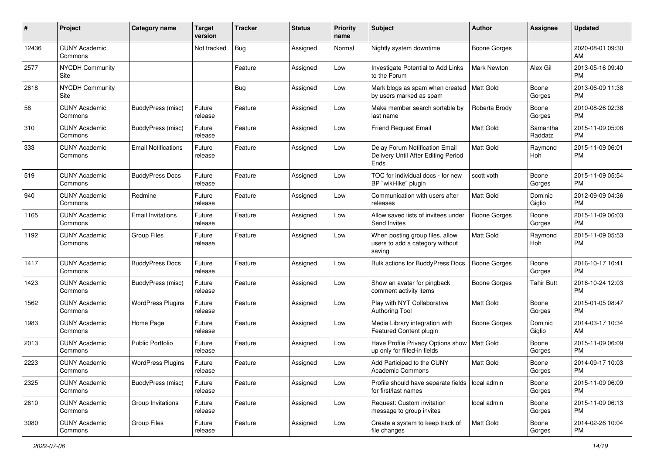| #     | Project                         | <b>Category name</b>       | Target<br>version | <b>Tracker</b> | <b>Status</b> | Priority<br>name | <b>Subject</b>                                                                | <b>Author</b>       | <b>Assignee</b>     | <b>Updated</b>                |
|-------|---------------------------------|----------------------------|-------------------|----------------|---------------|------------------|-------------------------------------------------------------------------------|---------------------|---------------------|-------------------------------|
| 12436 | <b>CUNY Academic</b><br>Commons |                            | Not tracked       | Bug            | Assigned      | Normal           | Nightly system downtime                                                       | <b>Boone Gorges</b> |                     | 2020-08-01 09:30<br>AM.       |
| 2577  | <b>NYCDH Community</b><br>Site  |                            |                   | Feature        | Assigned      | Low              | Investigate Potential to Add Links<br>to the Forum                            | Mark Newton         | Alex Gil            | 2013-05-16 09:40<br><b>PM</b> |
| 2618  | <b>NYCDH Community</b><br>Site  |                            |                   | <b>Bug</b>     | Assigned      | Low              | Mark blogs as spam when created<br>by users marked as spam                    | <b>Matt Gold</b>    | Boone<br>Gorges     | 2013-06-09 11:38<br>PM.       |
| 58    | <b>CUNY Academic</b><br>Commons | BuddyPress (misc)          | Future<br>release | Feature        | Assigned      | Low              | Make member search sortable by<br>last name                                   | Roberta Brody       | Boone<br>Gorges     | 2010-08-26 02:38<br>PM.       |
| 310   | <b>CUNY Academic</b><br>Commons | BuddyPress (misc)          | Future<br>release | Feature        | Assigned      | Low              | <b>Friend Request Email</b>                                                   | <b>Matt Gold</b>    | Samantha<br>Raddatz | 2015-11-09 05:08<br><b>PM</b> |
| 333   | <b>CUNY Academic</b><br>Commons | <b>Email Notifications</b> | Future<br>release | Feature        | Assigned      | Low              | Delay Forum Notification Email<br>Delivery Until After Editing Period<br>Ends | Matt Gold           | Raymond<br>Hoh      | 2015-11-09 06:01<br><b>PM</b> |
| 519   | <b>CUNY Academic</b><br>Commons | <b>BuddyPress Docs</b>     | Future<br>release | Feature        | Assigned      | Low              | TOC for individual docs - for new<br>BP "wiki-like" plugin                    | scott voth          | Boone<br>Gorges     | 2015-11-09 05:54<br><b>PM</b> |
| 940   | <b>CUNY Academic</b><br>Commons | Redmine                    | Future<br>release | Feature        | Assigned      | Low              | Communication with users after<br>releases                                    | Matt Gold           | Dominic<br>Giglio   | 2012-09-09 04:36<br><b>PM</b> |
| 1165  | <b>CUNY Academic</b><br>Commons | <b>Email Invitations</b>   | Future<br>release | Feature        | Assigned      | Low              | Allow saved lists of invitees under<br>Send Invites                           | <b>Boone Gorges</b> | Boone<br>Gorges     | 2015-11-09 06:03<br><b>PM</b> |
| 1192  | <b>CUNY Academic</b><br>Commons | <b>Group Files</b>         | Future<br>release | Feature        | Assigned      | Low              | When posting group files, allow<br>users to add a category without<br>saving  | <b>Matt Gold</b>    | Raymond<br>Hoh      | 2015-11-09 05:53<br><b>PM</b> |
| 1417  | <b>CUNY Academic</b><br>Commons | <b>BuddyPress Docs</b>     | Future<br>release | Feature        | Assigned      | Low              | <b>Bulk actions for BuddyPress Docs</b>                                       | <b>Boone Gorges</b> | Boone<br>Gorges     | 2016-10-17 10:41<br>PM.       |
| 1423  | <b>CUNY Academic</b><br>Commons | BuddyPress (misc)          | Future<br>release | Feature        | Assigned      | Low              | Show an avatar for pingback<br>comment activity items                         | <b>Boone Gorges</b> | Tahir Butt          | 2016-10-24 12:03<br><b>PM</b> |
| 1562  | <b>CUNY Academic</b><br>Commons | <b>WordPress Plugins</b>   | Future<br>release | Feature        | Assigned      | Low              | Play with NYT Collaborative<br><b>Authoring Tool</b>                          | Matt Gold           | Boone<br>Gorges     | 2015-01-05 08:47<br><b>PM</b> |
| 1983  | <b>CUNY Academic</b><br>Commons | Home Page                  | Future<br>release | Feature        | Assigned      | Low              | Media Library integration with<br>Featured Content plugin                     | Boone Gorges        | Dominic<br>Giglio   | 2014-03-17 10:34<br>AM        |
| 2013  | <b>CUNY Academic</b><br>Commons | <b>Public Portfolio</b>    | Future<br>release | Feature        | Assigned      | Low              | Have Profile Privacy Options show<br>up only for filled-in fields             | Matt Gold           | Boone<br>Gorges     | 2015-11-09 06:09<br><b>PM</b> |
| 2223  | <b>CUNY Academic</b><br>Commons | <b>WordPress Plugins</b>   | Future<br>release | Feature        | Assigned      | Low              | Add Participad to the CUNY<br>Academic Commons                                | Matt Gold           | Boone<br>Gorges     | 2014-09-17 10:03<br>PM        |
| 2325  | <b>CUNY Academic</b><br>Commons | BuddyPress (misc)          | Future<br>release | Feature        | Assigned      | Low              | Profile should have separate fields   local admin<br>for first/last names     |                     | Boone<br>Gorges     | 2015-11-09 06:09<br>PM.       |
| 2610  | <b>CUNY Academic</b><br>Commons | Group Invitations          | Future<br>release | Feature        | Assigned      | Low              | Request: Custom invitation<br>message to group invites                        | local admin         | Boone<br>Gorges     | 2015-11-09 06:13<br><b>PM</b> |
| 3080  | <b>CUNY Academic</b><br>Commons | Group Files                | Future<br>release | Feature        | Assigned      | Low              | Create a system to keep track of<br>file changes                              | Matt Gold           | Boone<br>Gorges     | 2014-02-26 10:04<br><b>PM</b> |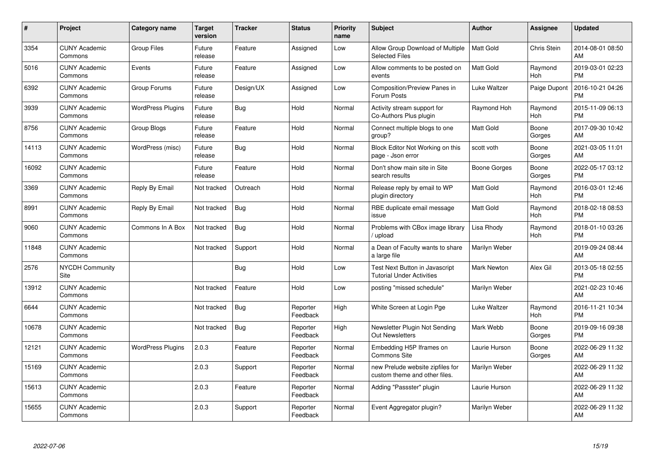| #     | <b>Project</b>                  | Category name            | <b>Target</b><br>version | <b>Tracker</b> | <b>Status</b>        | Priority<br>name | Subject                                                                   | <b>Author</b>      | Assignee        | <b>Updated</b>                |
|-------|---------------------------------|--------------------------|--------------------------|----------------|----------------------|------------------|---------------------------------------------------------------------------|--------------------|-----------------|-------------------------------|
| 3354  | <b>CUNY Academic</b><br>Commons | <b>Group Files</b>       | Future<br>release        | Feature        | Assigned             | Low              | Allow Group Download of Multiple<br><b>Selected Files</b>                 | <b>Matt Gold</b>   | Chris Stein     | 2014-08-01 08:50<br>AM        |
| 5016  | <b>CUNY Academic</b><br>Commons | Events                   | Future<br>release        | Feature        | Assigned             | Low              | Allow comments to be posted on<br>events                                  | <b>Matt Gold</b>   | Raymond<br>Hoh  | 2019-03-01 02:23<br><b>PM</b> |
| 6392  | <b>CUNY Academic</b><br>Commons | Group Forums             | Future<br>release        | Design/UX      | Assigned             | Low              | Composition/Preview Panes in<br>Forum Posts                               | Luke Waltzer       | Paige Dupont    | 2016-10-21 04:26<br><b>PM</b> |
| 3939  | <b>CUNY Academic</b><br>Commons | <b>WordPress Plugins</b> | Future<br>release        | <b>Bug</b>     | Hold                 | Normal           | Activity stream support for<br>Co-Authors Plus plugin                     | Raymond Hoh        | Raymond<br>Hoh  | 2015-11-09 06:13<br><b>PM</b> |
| 8756  | <b>CUNY Academic</b><br>Commons | Group Blogs              | Future<br>release        | Feature        | Hold                 | Normal           | Connect multiple blogs to one<br>group?                                   | <b>Matt Gold</b>   | Boone<br>Gorges | 2017-09-30 10:42<br>AM        |
| 14113 | <b>CUNY Academic</b><br>Commons | WordPress (misc)         | Future<br>release        | Bug            | Hold                 | Normal           | Block Editor Not Working on this<br>page - Json error                     | scott voth         | Boone<br>Gorges | 2021-03-05 11:01<br>AM        |
| 16092 | <b>CUNY Academic</b><br>Commons |                          | Future<br>release        | Feature        | Hold                 | Normal           | Don't show main site in Site<br>search results                            | Boone Gorges       | Boone<br>Gorges | 2022-05-17 03:12<br><b>PM</b> |
| 3369  | <b>CUNY Academic</b><br>Commons | Reply By Email           | Not tracked              | Outreach       | Hold                 | Normal           | Release reply by email to WP<br>plugin directory                          | <b>Matt Gold</b>   | Raymond<br>Hoh  | 2016-03-01 12:46<br><b>PM</b> |
| 8991  | <b>CUNY Academic</b><br>Commons | Reply By Email           | Not tracked              | Bug            | Hold                 | Normal           | RBE duplicate email message<br>issue                                      | <b>Matt Gold</b>   | Raymond<br>Hoh  | 2018-02-18 08:53<br><b>PM</b> |
| 9060  | <b>CUNY Academic</b><br>Commons | Commons In A Box         | Not tracked              | Bug            | Hold                 | Normal           | Problems with CBox image library<br>/ upload                              | Lisa Rhody         | Raymond<br>Hoh  | 2018-01-10 03:26<br><b>PM</b> |
| 11848 | <b>CUNY Academic</b><br>Commons |                          | Not tracked              | Support        | Hold                 | Normal           | a Dean of Faculty wants to share<br>a large file                          | Marilyn Weber      |                 | 2019-09-24 08:44<br>AM        |
| 2576  | <b>NYCDH Community</b><br>Site  |                          |                          | <b>Bug</b>     | Hold                 | Low              | <b>Test Next Button in Javascript</b><br><b>Tutorial Under Activities</b> | <b>Mark Newton</b> | Alex Gil        | 2013-05-18 02:55<br><b>PM</b> |
| 13912 | <b>CUNY Academic</b><br>Commons |                          | Not tracked              | Feature        | Hold                 | Low              | posting "missed schedule"                                                 | Marilyn Weber      |                 | 2021-02-23 10:46<br>AM        |
| 6644  | <b>CUNY Academic</b><br>Commons |                          | Not tracked              | Bug            | Reporter<br>Feedback | High             | White Screen at Login Pge                                                 | Luke Waltzer       | Raymond<br>Hoh  | 2016-11-21 10:34<br><b>PM</b> |
| 10678 | <b>CUNY Academic</b><br>Commons |                          | Not tracked              | <b>Bug</b>     | Reporter<br>Feedback | High             | Newsletter Plugin Not Sending<br><b>Out Newsletters</b>                   | Mark Webb          | Boone<br>Gorges | 2019-09-16 09:38<br><b>PM</b> |
| 12121 | <b>CUNY Academic</b><br>Commons | <b>WordPress Plugins</b> | 2.0.3                    | Feature        | Reporter<br>Feedback | Normal           | Embedding H5P Iframes on<br><b>Commons Site</b>                           | Laurie Hurson      | Boone<br>Gorges | 2022-06-29 11:32<br>AM        |
| 15169 | <b>CUNY Academic</b><br>Commons |                          | 2.0.3                    | Support        | Reporter<br>Feedback | Normal           | new Prelude website zipfiles for<br>custom theme and other files.         | Marilyn Weber      |                 | 2022-06-29 11:32<br>AM        |
| 15613 | <b>CUNY Academic</b><br>Commons |                          | 2.0.3                    | Feature        | Reporter<br>Feedback | Normal           | Adding "Passster" plugin                                                  | Laurie Hurson      |                 | 2022-06-29 11:32<br>AM        |
| 15655 | <b>CUNY Academic</b><br>Commons |                          | 2.0.3                    | Support        | Reporter<br>Feedback | Normal           | Event Aggregator plugin?                                                  | Marilyn Weber      |                 | 2022-06-29 11:32<br>AM        |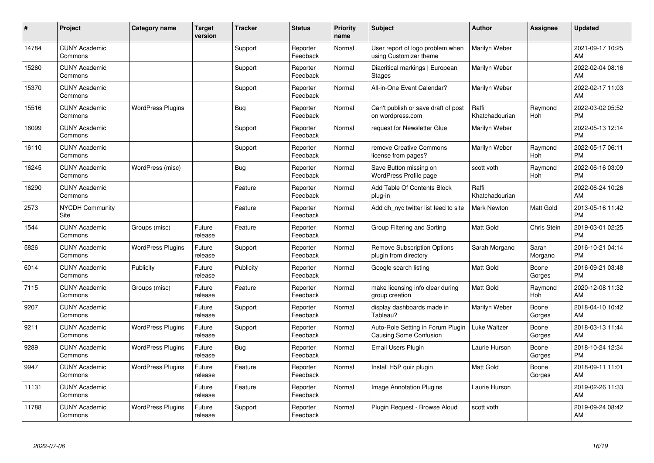| #     | Project                         | Category name            | <b>Target</b><br>version | <b>Tracker</b> | <b>Status</b>        | Priority<br>name | <b>Subject</b>                                                     | <b>Author</b>           | <b>Assignee</b>  | <b>Updated</b>                |
|-------|---------------------------------|--------------------------|--------------------------|----------------|----------------------|------------------|--------------------------------------------------------------------|-------------------------|------------------|-------------------------------|
| 14784 | <b>CUNY Academic</b><br>Commons |                          |                          | Support        | Reporter<br>Feedback | Normal           | User report of logo problem when<br>using Customizer theme         | <b>Marilyn Weber</b>    |                  | 2021-09-17 10:25<br>AM        |
| 15260 | <b>CUNY Academic</b><br>Commons |                          |                          | Support        | Reporter<br>Feedback | Normal           | Diacritical markings   European<br><b>Stages</b>                   | Marilyn Weber           |                  | 2022-02-04 08:16<br>AM        |
| 15370 | <b>CUNY Academic</b><br>Commons |                          |                          | Support        | Reporter<br>Feedback | Normal           | All-in-One Event Calendar?                                         | Marilyn Weber           |                  | 2022-02-17 11:03<br>AM        |
| 15516 | <b>CUNY Academic</b><br>Commons | <b>WordPress Plugins</b> |                          | Bug            | Reporter<br>Feedback | Normal           | Can't publish or save draft of post<br>on wordpress.com            | Raffi<br>Khatchadourian | Raymond<br>Hoh   | 2022-03-02 05:52<br><b>PM</b> |
| 16099 | <b>CUNY Academic</b><br>Commons |                          |                          | Support        | Reporter<br>Feedback | Normal           | request for Newsletter Glue                                        | Marilyn Weber           |                  | 2022-05-13 12:14<br><b>PM</b> |
| 16110 | <b>CUNY Academic</b><br>Commons |                          |                          | Support        | Reporter<br>Feedback | Normal           | remove Creative Commons<br>license from pages?                     | Marilyn Weber           | Raymond<br>Hoh   | 2022-05-17 06:11<br><b>PM</b> |
| 16245 | <b>CUNY Academic</b><br>Commons | WordPress (misc)         |                          | Bug            | Reporter<br>Feedback | Normal           | Save Button missing on<br><b>WordPress Profile page</b>            | scott voth              | Raymond<br>Hoh   | 2022-06-16 03:09<br><b>PM</b> |
| 16290 | <b>CUNY Academic</b><br>Commons |                          |                          | Feature        | Reporter<br>Feedback | Normal           | Add Table Of Contents Block<br>plug-in                             | Raffi<br>Khatchadourian |                  | 2022-06-24 10:26<br>AM        |
| 2573  | <b>NYCDH Community</b><br>Site  |                          |                          | Feature        | Reporter<br>Feedback | Normal           | Add dh nyc twitter list feed to site                               | <b>Mark Newton</b>      | Matt Gold        | 2013-05-16 11:42<br><b>PM</b> |
| 1544  | <b>CUNY Academic</b><br>Commons | Groups (misc)            | Future<br>release        | Feature        | Reporter<br>Feedback | Normal           | Group Filtering and Sorting                                        | <b>Matt Gold</b>        | Chris Stein      | 2019-03-01 02:25<br><b>PM</b> |
| 5826  | <b>CUNY Academic</b><br>Commons | <b>WordPress Plugins</b> | Future<br>release        | Support        | Reporter<br>Feedback | Normal           | <b>Remove Subscription Options</b><br>plugin from directory        | Sarah Morgano           | Sarah<br>Morgano | 2016-10-21 04:14<br><b>PM</b> |
| 6014  | <b>CUNY Academic</b><br>Commons | Publicity                | Future<br>release        | Publicity      | Reporter<br>Feedback | Normal           | Google search listing                                              | Matt Gold               | Boone<br>Gorges  | 2016-09-21 03:48<br><b>PM</b> |
| 7115  | <b>CUNY Academic</b><br>Commons | Groups (misc)            | Future<br>release        | Feature        | Reporter<br>Feedback | Normal           | make licensing info clear during<br>group creation                 | <b>Matt Gold</b>        | Raymond<br>Hoh   | 2020-12-08 11:32<br>AM        |
| 9207  | <b>CUNY Academic</b><br>Commons |                          | Future<br>release        | Support        | Reporter<br>Feedback | Normal           | display dashboards made in<br>Tableau?                             | Marilyn Weber           | Boone<br>Gorges  | 2018-04-10 10:42<br>AM        |
| 9211  | <b>CUNY Academic</b><br>Commons | <b>WordPress Plugins</b> | Future<br>release        | Support        | Reporter<br>Feedback | Normal           | Auto-Role Setting in Forum Plugin<br><b>Causing Some Confusion</b> | <b>Luke Waltzer</b>     | Boone<br>Gorges  | 2018-03-13 11:44<br>AM        |
| 9289  | <b>CUNY Academic</b><br>Commons | <b>WordPress Plugins</b> | Future<br>release        | Bug            | Reporter<br>Feedback | Normal           | Email Users Plugin                                                 | Laurie Hurson           | Boone<br>Gorges  | 2018-10-24 12:34<br><b>PM</b> |
| 9947  | <b>CUNY Academic</b><br>Commons | <b>WordPress Plugins</b> | Future<br>release        | Feature        | Reporter<br>Feedback | Normal           | Install H5P quiz plugin                                            | <b>Matt Gold</b>        | Boone<br>Gorges  | 2018-09-11 11:01<br>AM        |
| 11131 | <b>CUNY Academic</b><br>Commons |                          | Future<br>release        | Feature        | Reporter<br>Feedback | Normal           | Image Annotation Plugins                                           | Laurie Hurson           |                  | 2019-02-26 11:33<br>AM        |
| 11788 | <b>CUNY Academic</b><br>Commons | <b>WordPress Plugins</b> | Future<br>release        | Support        | Reporter<br>Feedback | Normal           | Plugin Request - Browse Aloud                                      | scott voth              |                  | 2019-09-24 08:42<br>AM        |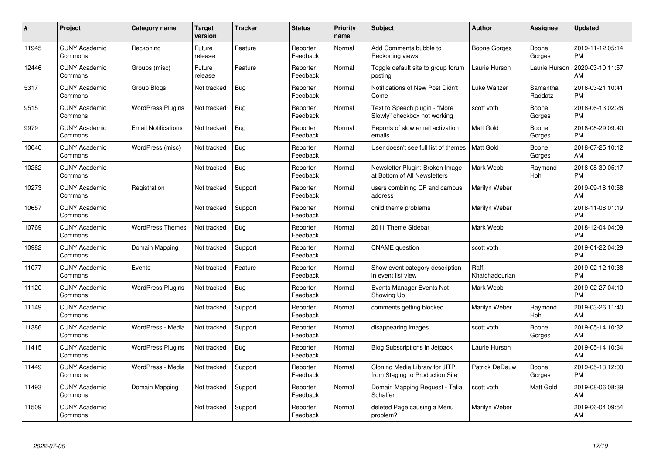| #     | Project                         | <b>Category name</b>       | Target<br>version | <b>Tracker</b> | <b>Status</b>        | <b>Priority</b><br>name | <b>Subject</b>                                                    | <b>Author</b>           | <b>Assignee</b>     | <b>Updated</b>                |
|-------|---------------------------------|----------------------------|-------------------|----------------|----------------------|-------------------------|-------------------------------------------------------------------|-------------------------|---------------------|-------------------------------|
| 11945 | <b>CUNY Academic</b><br>Commons | Reckoning                  | Future<br>release | Feature        | Reporter<br>Feedback | Normal                  | Add Comments bubble to<br>Reckoning views                         | Boone Gorges            | Boone<br>Gorges     | 2019-11-12 05:14<br><b>PM</b> |
| 12446 | <b>CUNY Academic</b><br>Commons | Groups (misc)              | Future<br>release | Feature        | Reporter<br>Feedback | Normal                  | Toggle default site to group forum<br>posting                     | Laurie Hurson           | Laurie Hurson       | 2020-03-10 11:57<br>AM        |
| 5317  | <b>CUNY Academic</b><br>Commons | Group Blogs                | Not tracked       | <b>Bug</b>     | Reporter<br>Feedback | Normal                  | Notifications of New Post Didn't<br>Come                          | Luke Waltzer            | Samantha<br>Raddatz | 2016-03-21 10:41<br><b>PM</b> |
| 9515  | <b>CUNY Academic</b><br>Commons | <b>WordPress Plugins</b>   | Not tracked       | Bug            | Reporter<br>Feedback | Normal                  | Text to Speech plugin - "More<br>Slowly" checkbox not working     | scott voth              | Boone<br>Gorges     | 2018-06-13 02:26<br><b>PM</b> |
| 9979  | <b>CUNY Academic</b><br>Commons | <b>Email Notifications</b> | Not tracked       | <b>Bug</b>     | Reporter<br>Feedback | Normal                  | Reports of slow email activation<br>emails                        | <b>Matt Gold</b>        | Boone<br>Gorges     | 2018-08-29 09:40<br><b>PM</b> |
| 10040 | <b>CUNY Academic</b><br>Commons | WordPress (misc)           | Not tracked       | <b>Bug</b>     | Reporter<br>Feedback | Normal                  | User doesn't see full list of themes                              | <b>Matt Gold</b>        | Boone<br>Gorges     | 2018-07-25 10:12<br>AM        |
| 10262 | <b>CUNY Academic</b><br>Commons |                            | Not tracked       | Bug            | Reporter<br>Feedback | Normal                  | Newsletter Plugin: Broken Image<br>at Bottom of All Newsletters   | Mark Webb               | Raymond<br>Hoh      | 2018-08-30 05:17<br><b>PM</b> |
| 10273 | <b>CUNY Academic</b><br>Commons | Registration               | Not tracked       | Support        | Reporter<br>Feedback | Normal                  | users combining CF and campus<br>address                          | Marilyn Weber           |                     | 2019-09-18 10:58<br>AM        |
| 10657 | <b>CUNY Academic</b><br>Commons |                            | Not tracked       | Support        | Reporter<br>Feedback | Normal                  | child theme problems                                              | Marilyn Weber           |                     | 2018-11-08 01:19<br><b>PM</b> |
| 10769 | <b>CUNY Academic</b><br>Commons | <b>WordPress Themes</b>    | Not tracked       | <b>Bug</b>     | Reporter<br>Feedback | Normal                  | 2011 Theme Sidebar                                                | Mark Webb               |                     | 2018-12-04 04:09<br>PM        |
| 10982 | <b>CUNY Academic</b><br>Commons | Domain Mapping             | Not tracked       | Support        | Reporter<br>Feedback | Normal                  | <b>CNAME</b> question                                             | scott voth              |                     | 2019-01-22 04:29<br><b>PM</b> |
| 11077 | <b>CUNY Academic</b><br>Commons | Events                     | Not tracked       | Feature        | Reporter<br>Feedback | Normal                  | Show event category description<br>in event list view             | Raffi<br>Khatchadourian |                     | 2019-02-12 10:38<br><b>PM</b> |
| 11120 | <b>CUNY Academic</b><br>Commons | <b>WordPress Plugins</b>   | Not tracked       | <b>Bug</b>     | Reporter<br>Feedback | Normal                  | Events Manager Events Not<br>Showing Up                           | Mark Webb               |                     | 2019-02-27 04:10<br><b>PM</b> |
| 11149 | <b>CUNY Academic</b><br>Commons |                            | Not tracked       | Support        | Reporter<br>Feedback | Normal                  | comments getting blocked                                          | Marilyn Weber           | Raymond<br>Hoh      | 2019-03-26 11:40<br>AM        |
| 11386 | <b>CUNY Academic</b><br>Commons | WordPress - Media          | Not tracked       | Support        | Reporter<br>Feedback | Normal                  | disappearing images                                               | scott voth              | Boone<br>Gorges     | 2019-05-14 10:32<br><b>AM</b> |
| 11415 | <b>CUNY Academic</b><br>Commons | <b>WordPress Plugins</b>   | Not tracked       | <b>Bug</b>     | Reporter<br>Feedback | Normal                  | Blog Subscriptions in Jetpack                                     | Laurie Hurson           |                     | 2019-05-14 10:34<br>AM        |
| 11449 | <b>CUNY Academic</b><br>Commons | WordPress - Media          | Not tracked       | Support        | Reporter<br>Feedback | Normal                  | Cloning Media Library for JITP<br>from Staging to Production Site | Patrick DeDauw          | Boone<br>Gorges     | 2019-05-13 12:00<br><b>PM</b> |
| 11493 | <b>CUNY Academic</b><br>Commons | Domain Mapping             | Not tracked       | Support        | Reporter<br>Feedback | Normal                  | Domain Mapping Request - Talia<br>Schaffer                        | scott voth              | Matt Gold           | 2019-08-06 08:39<br>AM.       |
| 11509 | <b>CUNY Academic</b><br>Commons |                            | Not tracked       | Support        | Reporter<br>Feedback | Normal                  | deleted Page causing a Menu<br>problem?                           | Marilyn Weber           |                     | 2019-06-04 09:54<br>AM        |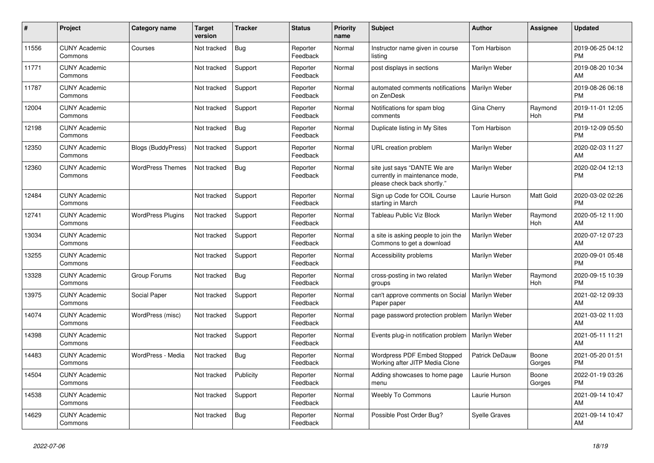| #     | Project                         | <b>Category name</b>      | <b>Target</b><br>version | <b>Tracker</b> | <b>Status</b>        | <b>Priority</b><br>name | <b>Subject</b>                                                                                | <b>Author</b>        | Assignee        | <b>Updated</b>                |
|-------|---------------------------------|---------------------------|--------------------------|----------------|----------------------|-------------------------|-----------------------------------------------------------------------------------------------|----------------------|-----------------|-------------------------------|
| 11556 | <b>CUNY Academic</b><br>Commons | Courses                   | Not tracked              | <b>Bug</b>     | Reporter<br>Feedback | Normal                  | Instructor name given in course<br>listing                                                    | Tom Harbison         |                 | 2019-06-25 04:12<br><b>PM</b> |
| 11771 | <b>CUNY Academic</b><br>Commons |                           | Not tracked              | Support        | Reporter<br>Feedback | Normal                  | post displays in sections                                                                     | Marilyn Weber        |                 | 2019-08-20 10:34<br>AM        |
| 11787 | <b>CUNY Academic</b><br>Commons |                           | Not tracked              | Support        | Reporter<br>Feedback | Normal                  | automated comments notifications<br>on ZenDesk                                                | Marilyn Weber        |                 | 2019-08-26 06:18<br><b>PM</b> |
| 12004 | <b>CUNY Academic</b><br>Commons |                           | Not tracked              | Support        | Reporter<br>Feedback | Normal                  | Notifications for spam blog<br>comments                                                       | Gina Cherry          | Raymond<br>Hoh  | 2019-11-01 12:05<br><b>PM</b> |
| 12198 | <b>CUNY Academic</b><br>Commons |                           | Not tracked              | Bug            | Reporter<br>Feedback | Normal                  | Duplicate listing in My Sites                                                                 | Tom Harbison         |                 | 2019-12-09 05:50<br><b>PM</b> |
| 12350 | <b>CUNY Academic</b><br>Commons | <b>Blogs (BuddyPress)</b> | Not tracked              | Support        | Reporter<br>Feedback | Normal                  | URL creation problem                                                                          | Marilyn Weber        |                 | 2020-02-03 11:27<br><b>AM</b> |
| 12360 | <b>CUNY Academic</b><br>Commons | <b>WordPress Themes</b>   | Not tracked              | <b>Bug</b>     | Reporter<br>Feedback | Normal                  | site just says "DANTE We are<br>currently in maintenance mode,<br>please check back shortly." | Marilyn Weber        |                 | 2020-02-04 12:13<br>PM        |
| 12484 | <b>CUNY Academic</b><br>Commons |                           | Not tracked              | Support        | Reporter<br>Feedback | Normal                  | Sign up Code for COIL Course<br>starting in March                                             | Laurie Hurson        | Matt Gold       | 2020-03-02 02:26<br><b>PM</b> |
| 12741 | <b>CUNY Academic</b><br>Commons | <b>WordPress Plugins</b>  | Not tracked              | Support        | Reporter<br>Feedback | Normal                  | Tableau Public Viz Block                                                                      | Marilyn Weber        | Raymond<br>Hoh  | 2020-05-12 11:00<br><b>AM</b> |
| 13034 | <b>CUNY Academic</b><br>Commons |                           | Not tracked              | Support        | Reporter<br>Feedback | Normal                  | a site is asking people to join the<br>Commons to get a download                              | Marilyn Weber        |                 | 2020-07-12 07:23<br>AM        |
| 13255 | <b>CUNY Academic</b><br>Commons |                           | Not tracked              | Support        | Reporter<br>Feedback | Normal                  | Accessibility problems                                                                        | Marilyn Weber        |                 | 2020-09-01 05:48<br><b>PM</b> |
| 13328 | <b>CUNY Academic</b><br>Commons | Group Forums              | Not tracked              | Bug            | Reporter<br>Feedback | Normal                  | cross-posting in two related<br>groups                                                        | Marilyn Weber        | Raymond<br>Hoh  | 2020-09-15 10:39<br><b>PM</b> |
| 13975 | <b>CUNY Academic</b><br>Commons | Social Paper              | Not tracked              | Support        | Reporter<br>Feedback | Normal                  | can't approve comments on Social<br>Paper paper                                               | Marilyn Weber        |                 | 2021-02-12 09:33<br>AM        |
| 14074 | <b>CUNY Academic</b><br>Commons | WordPress (misc)          | Not tracked              | Support        | Reporter<br>Feedback | Normal                  | page password protection problem                                                              | Marilyn Weber        |                 | 2021-03-02 11:03<br>AM        |
| 14398 | <b>CUNY Academic</b><br>Commons |                           | Not tracked              | Support        | Reporter<br>Feedback | Normal                  | Events plug-in notification problem                                                           | Marilyn Weber        |                 | 2021-05-11 11:21<br>AM        |
| 14483 | <b>CUNY Academic</b><br>Commons | WordPress - Media         | Not tracked              | Bug            | Reporter<br>Feedback | Normal                  | Wordpress PDF Embed Stopped<br>Working after JITP Media Clone                                 | Patrick DeDauw       | Boone<br>Gorges | 2021-05-20 01:51<br><b>PM</b> |
| 14504 | <b>CUNY Academic</b><br>Commons |                           | Not tracked              | Publicity      | Reporter<br>Feedback | Normal                  | Adding showcases to home page<br>menu                                                         | Laurie Hurson        | Boone<br>Gorges | 2022-01-19 03:26<br><b>PM</b> |
| 14538 | <b>CUNY Academic</b><br>Commons |                           | Not tracked              | Support        | Reporter<br>Feedback | Normal                  | <b>Weebly To Commons</b>                                                                      | Laurie Hurson        |                 | 2021-09-14 10:47<br><b>AM</b> |
| 14629 | <b>CUNY Academic</b><br>Commons |                           | Not tracked              | Bug            | Reporter<br>Feedback | Normal                  | Possible Post Order Bug?                                                                      | <b>Syelle Graves</b> |                 | 2021-09-14 10:47<br>AM        |